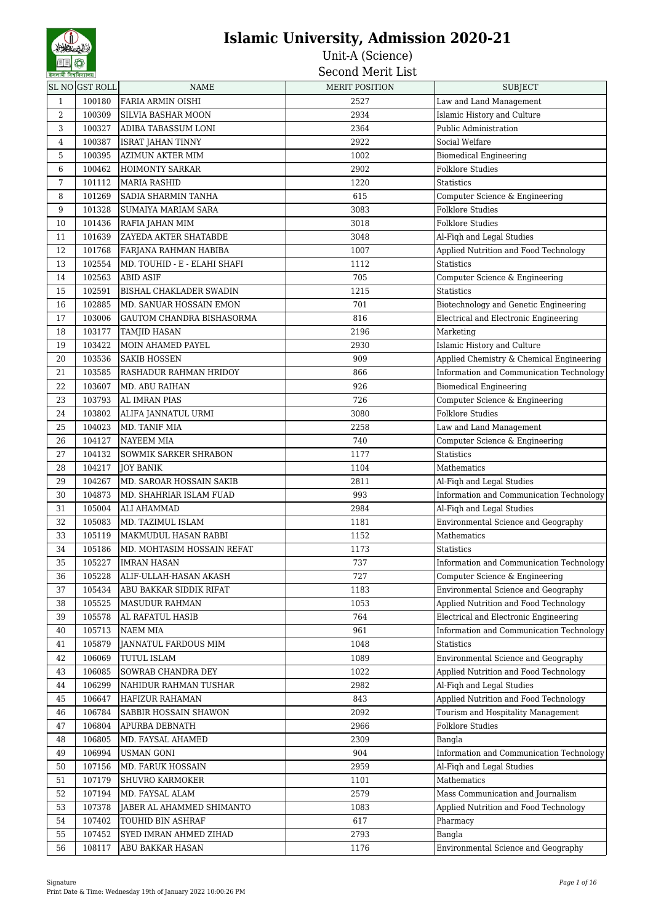| ইসলামী বিশ্ববিদ্যালয় |                |                                                  | חכרחוות ועונח         |                                              |
|-----------------------|----------------|--------------------------------------------------|-----------------------|----------------------------------------------|
|                       | SL NO GST ROLL | NAME                                             | <b>MERIT POSITION</b> | <b>SUBJECT</b>                               |
| 1                     | 100180         | FARIA ARMIN OISHI                                | 2527                  | Law and Land Management                      |
| $\overline{2}$        | 100309         | SILVIA BASHAR MOON                               | 2934                  | Islamic History and Culture                  |
| 3                     | 100327         | ADIBA TABASSUM LONI                              | 2364                  | Public Administration                        |
| 4                     | 100387         | ISRAT JAHAN TINNY                                | 2922                  | Social Welfare                               |
| 5                     | 100395         | <b>AZIMUN AKTER MIM</b>                          | 1002                  | <b>Biomedical Engineering</b>                |
| 6                     | 100462         | <b>HOIMONTY SARKAR</b>                           | 2902                  | <b>Folklore Studies</b>                      |
| 7                     | 101112         | MARIA RASHID                                     | 1220                  | <b>Statistics</b>                            |
| 8                     | 101269         | <b>SADIA SHARMIN TANHA</b>                       | 615                   | Computer Science & Engineering               |
| 9                     | 101328         | <b>SUMAIYA MARIAM SARA</b>                       | 3083                  | <b>Folklore Studies</b>                      |
| 10                    | 101436         | RAFIA JAHAN MIM                                  | 3018                  | <b>Folklore Studies</b>                      |
| 11                    | 101639         | <b>ZAYEDA AKTER SHATABDE</b>                     | 3048                  | Al-Fiqh and Legal Studies                    |
| 12                    | 101768         | FARJANA RAHMAN HABIBA                            | 1007                  | Applied Nutrition and Food Technology        |
| 13                    | 102554         | MD. TOUHID - E - ELAHI SHAFI                     | 1112                  | <b>Statistics</b>                            |
| 14                    | 102563         | ABID ASIF                                        | 705                   | Computer Science & Engineering               |
| 15                    | 102591         | <b>BISHAL CHAKLADER SWADIN</b>                   | 1215                  | <b>Statistics</b>                            |
| 16                    | 102885         | MD. SANUAR HOSSAIN EMON                          | 701                   | Biotechnology and Genetic Engineering        |
| 17                    |                |                                                  |                       |                                              |
|                       | 103006         | GAUTOM CHANDRA BISHASORMA<br><b>TAMJID HASAN</b> | 816                   | Electrical and Electronic Engineering        |
| 18                    | 103177         |                                                  | 2196                  | Marketing                                    |
| 19                    | 103422         | <b>MOIN AHAMED PAYEL</b>                         | 2930                  | Islamic History and Culture                  |
| 20                    | 103536         | <b>SAKIB HOSSEN</b>                              | 909                   | Applied Chemistry & Chemical Engineering     |
| 21                    | 103585         | RASHADUR RAHMAN HRIDOY                           | 866                   | Information and Communication Technology     |
| 22                    | 103607         | MD. ABU RAIHAN                                   | 926                   | <b>Biomedical Engineering</b>                |
| 23                    | 103793         | AL IMRAN PIAS                                    | 726                   | Computer Science & Engineering               |
| 24                    | 103802         | ALIFA JANNATUL URMI                              | 3080                  | <b>Folklore Studies</b>                      |
| 25                    | 104023         | MD. TANIF MIA                                    | 2258                  | Law and Land Management                      |
| 26                    | 104127         | <b>NAYEEM MIA</b>                                | 740                   | Computer Science & Engineering               |
| 27                    | 104132         | <b>SOWMIK SARKER SHRABON</b>                     | 1177                  | <b>Statistics</b>                            |
| 28                    | 104217         | <b>JOY BANIK</b>                                 | 1104                  | Mathematics                                  |
| 29                    | 104267         | MD. SAROAR HOSSAIN SAKIB                         | 2811                  | Al-Fiqh and Legal Studies                    |
| 30                    | 104873         | MD. SHAHRIAR ISLAM FUAD                          | 993                   | Information and Communication Technology     |
| 31                    | 105004         | ALI AHAMMAD                                      | 2984                  | Al-Fiqh and Legal Studies                    |
| 32                    | 105083         | MD. TAZIMUL ISLAM                                | 1181                  | Environmental Science and Geography          |
| 33                    | 105119         | MAKMUDUL HASAN RABBI                             | 1152                  | Mathematics                                  |
| 34                    | 105186         | MD. MOHTASIM HOSSAIN REFAT                       | 1173                  | <b>Statistics</b>                            |
| 35                    | 105227         | <b>IMRAN HASAN</b>                               | 737                   | Information and Communication Technology     |
| 36                    | 105228         | ALIF-ULLAH-HASAN AKASH                           | 727                   | Computer Science & Engineering               |
| 37                    | 105434         | ABU BAKKAR SIDDIK RIFAT                          | 1183                  | Environmental Science and Geography          |
| 38                    | 105525         | <b>MASUDUR RAHMAN</b>                            | 1053                  | Applied Nutrition and Food Technology        |
| 39                    | 105578         | AL RAFATUL HASIB                                 | 764                   | <b>Electrical and Electronic Engineering</b> |
| 40                    | 105713         | <b>NAEM MIA</b>                                  | 961                   | Information and Communication Technology     |
| 41                    | 105879         | JANNATUL FARDOUS MIM                             | 1048                  | <b>Statistics</b>                            |
| 42                    | 106069         | TUTUL ISLAM                                      | 1089                  | Environmental Science and Geography          |
| 43                    | 106085         | SOWRAB CHANDRA DEY                               | 1022                  | Applied Nutrition and Food Technology        |
| 44                    | 106299         | NAHIDUR RAHMAN TUSHAR                            | 2982                  | Al-Fiqh and Legal Studies                    |
| 45                    | 106647         | <b>HAFIZUR RAHAMAN</b>                           | 843                   | Applied Nutrition and Food Technology        |
| 46                    | 106784         | SABBIR HOSSAIN SHAWON                            | 2092                  | Tourism and Hospitality Management           |
| 47                    | 106804         | APURBA DEBNATH                                   | 2966                  | <b>Folklore Studies</b>                      |
| 48                    | 106805         | MD. FAYSAL AHAMED                                | 2309                  | Bangla                                       |
| 49                    | 106994         | <b>USMAN GONI</b>                                | 904                   | Information and Communication Technology     |
| 50                    | 107156         | MD. FARUK HOSSAIN                                | 2959                  | Al-Fiqh and Legal Studies                    |
| 51                    | 107179         | <b>SHUVRO KARMOKER</b>                           | 1101                  | Mathematics                                  |
| 52                    | 107194         | MD. FAYSAL ALAM                                  | 2579                  | Mass Communication and Journalism            |
| 53                    | 107378         | JABER AL AHAMMED SHIMANTO                        | 1083                  | Applied Nutrition and Food Technology        |
| 54                    | 107402         | TOUHID BIN ASHRAF                                | 617                   | Pharmacy                                     |
| 55                    | 107452         | SYED IMRAN AHMED ZIHAD                           | 2793                  | Bangla                                       |
| 56                    | 108117         | <b>ABU BAKKAR HASAN</b>                          | 1176                  | Environmental Science and Geography          |
|                       |                |                                                  |                       |                                              |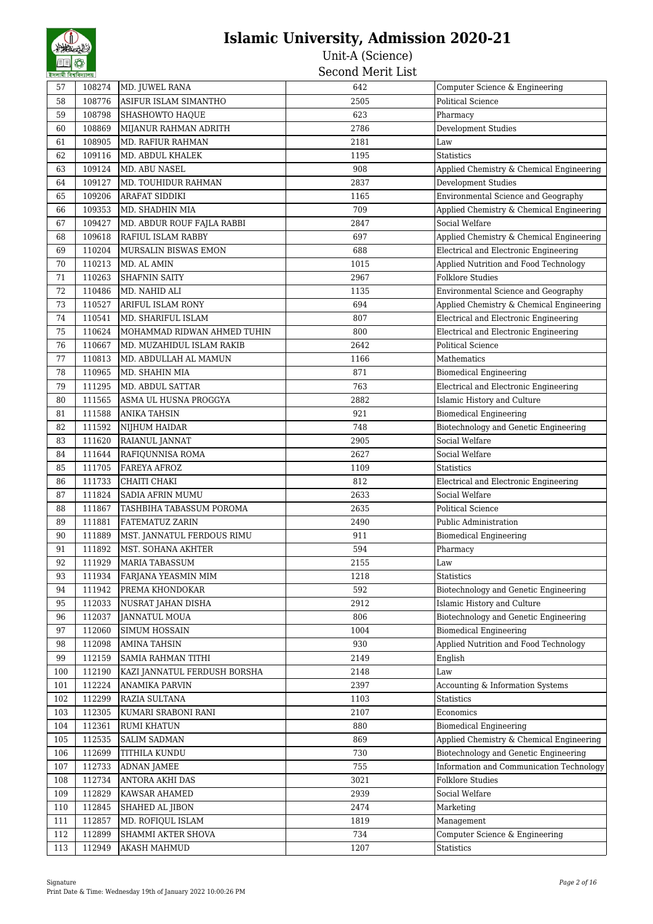| হসলামা বিশ্ববিদ্যালয় |        |                              | טטעם טנונטויו <b>מע</b> טטט |                                          |
|-----------------------|--------|------------------------------|-----------------------------|------------------------------------------|
| 57                    | 108274 | MD. JUWEL RANA               | 642                         | Computer Science & Engineering           |
| 58                    | 108776 | ASIFUR ISLAM SIMANTHO        | 2505                        | <b>Political Science</b>                 |
| 59                    | 108798 | SHASHOWTO HAQUE              | 623                         | Pharmacy                                 |
| 60                    | 108869 | MIJANUR RAHMAN ADRITH        | 2786                        | <b>Development Studies</b>               |
| 61                    | 108905 | <b>MD. RAFIUR RAHMAN</b>     | 2181                        | Law                                      |
| 62                    | 109116 | MD. ABDUL KHALEK             | 1195                        | <b>Statistics</b>                        |
| 63                    | 109124 | MD. ABU NASEL                | 908                         | Applied Chemistry & Chemical Engineering |
| 64                    | 109127 | MD. TOUHIDUR RAHMAN          | 2837                        | <b>Development Studies</b>               |
| 65                    | 109206 | <b>ARAFAT SIDDIKI</b>        | 1165                        | Environmental Science and Geography      |
| 66                    | 109353 | MD. SHADHIN MIA              | 709                         | Applied Chemistry & Chemical Engineering |
| 67                    | 109427 | MD. ABDUR ROUF FAJLA RABBI   | 2847                        | Social Welfare                           |
| 68                    | 109618 | RAFIUL ISLAM RABBY           | 697                         | Applied Chemistry & Chemical Engineering |
| 69                    | 110204 | MURSALIN BISWAS EMON         | 688                         | Electrical and Electronic Engineering    |
| 70                    | 110213 | MD. AL AMIN                  | 1015                        | Applied Nutrition and Food Technology    |
| 71                    | 110263 | <b>SHAFNIN SAITY</b>         | 2967                        | Folklore Studies                         |
| 72                    | 110486 | MD. NAHID ALI                | 1135                        | Environmental Science and Geography      |
| 73                    | 110527 | ARIFUL ISLAM RONY            | 694                         | Applied Chemistry & Chemical Engineering |
| 74                    | 110541 | MD. SHARIFUL ISLAM           | 807                         | Electrical and Electronic Engineering    |
| 75                    | 110624 | MOHAMMAD RIDWAN AHMED TUHIN  | 800                         | Electrical and Electronic Engineering    |
| 76                    | 110667 | MD. MUZAHIDUL ISLAM RAKIB    | 2642                        | <b>Political Science</b>                 |
| 77                    | 110813 | MD. ABDULLAH AL MAMUN        | 1166                        | Mathematics                              |
| 78                    | 110965 | MD. SHAHIN MIA               | 871                         | <b>Biomedical Engineering</b>            |
| 79                    | 111295 | MD. ABDUL SATTAR             | 763                         | Electrical and Electronic Engineering    |
| 80                    | 111565 | ASMA UL HUSNA PROGGYA        | 2882                        | Islamic History and Culture              |
| 81                    | 111588 | <b>ANIKA TAHSIN</b>          | 921                         | <b>Biomedical Engineering</b>            |
| 82                    | 111592 | NIJHUM HAIDAR                | 748                         | Biotechnology and Genetic Engineering    |
| 83                    | 111620 | RAIANUL JANNAT               | 2905                        | Social Welfare                           |
| 84                    | 111644 | RAFIQUNNISA ROMA             | 2627                        | Social Welfare                           |
| 85                    | 111705 | FAREYA AFROZ                 | 1109                        | Statistics                               |
| 86                    | 111733 | CHAITI CHAKI                 | 812                         | Electrical and Electronic Engineering    |
| 87                    | 111824 | SADIA AFRIN MUMU             | 2633                        | Social Welfare                           |
| 88                    | 111867 | TASHBIHA TABASSUM POROMA     | 2635                        | <b>Political Science</b>                 |
| 89                    | 111881 | <b>FATEMATUZ ZARIN</b>       | 2490                        | Public Administration                    |
| 90                    | 111889 | MST. JANNATUL FERDOUS RIMU   | 911                         | <b>Biomedical Engineering</b>            |
| 91                    | 111892 | MST. SOHANA AKHTER           | 594                         | Pharmacy                                 |
| 92                    | 111929 | MARIA TABASSUM               | 2155                        | Law                                      |
| 93                    | 111934 | FARJANA YEASMIN MIM          | 1218                        | Statistics                               |
| 94                    | 111942 | PREMA KHONDOKAR              | 592                         | Biotechnology and Genetic Engineering    |
| 95                    | 112033 | NUSRAT JAHAN DISHA           | 2912                        | Islamic History and Culture              |
| 96                    | 112037 | <b>JANNATUL MOUA</b>         | 806                         | Biotechnology and Genetic Engineering    |
| 97                    | 112060 | <b>SIMUM HOSSAIN</b>         | 1004                        | <b>Biomedical Engineering</b>            |
| 98                    | 112098 | <b>AMINA TAHSIN</b>          | 930                         | Applied Nutrition and Food Technology    |
| 99                    | 112159 | SAMIA RAHMAN TITHI           | 2149                        | English                                  |
| 100                   | 112190 | KAZI JANNATUL FERDUSH BORSHA | 2148                        | Law                                      |
| 101                   | 112224 | ANAMIKA PARVIN               | 2397                        | Accounting & Information Systems         |
| 102                   | 112299 | RAZIA SULTANA                | 1103                        | Statistics                               |
| 103                   | 112305 | KUMARI SRABONI RANI          | 2107                        | Economics                                |
| 104                   | 112361 | <b>RUMI KHATUN</b>           | 880                         | <b>Biomedical Engineering</b>            |
| 105                   | 112535 | SALIM SADMAN                 | 869                         | Applied Chemistry & Chemical Engineering |
| 106                   | 112699 | TITHILA KUNDU                | 730                         | Biotechnology and Genetic Engineering    |
| 107                   | 112733 | <b>ADNAN JAMEE</b>           | 755                         | Information and Communication Technology |
| 108                   | 112734 | ANTORA AKHI DAS              | 3021                        | <b>Folklore Studies</b>                  |
| 109                   | 112829 | KAWSAR AHAMED                | 2939                        | Social Welfare                           |
| 110                   | 112845 | SHAHED AL JIBON              | 2474                        | Marketing                                |
| 111                   | 112857 | MD. ROFIQUL ISLAM            | 1819                        | Management                               |
| 112                   | 112899 | SHAMMI AKTER SHOVA           | 734                         | Computer Science & Engineering           |
| 113                   | 112949 | AKASH MAHMUD                 | 1207                        | <b>Statistics</b>                        |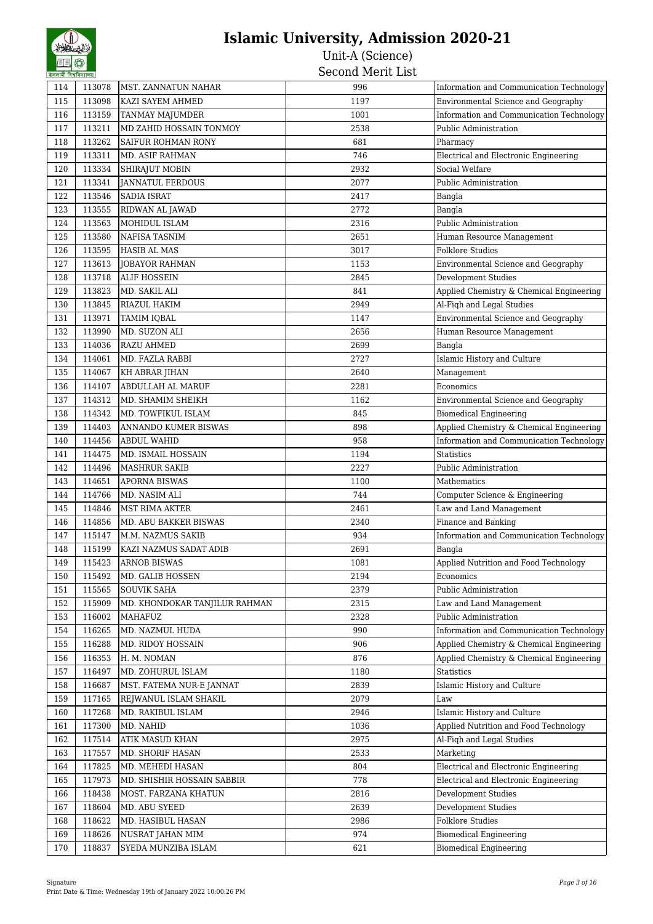| 114 | 113078 | <b>MST. ZANNATUN NAHAR</b>    | 996  | Information and Communication Technology |
|-----|--------|-------------------------------|------|------------------------------------------|
| 115 | 113098 | KAZI SAYEM AHMED              | 1197 | Environmental Science and Geography      |
| 116 | 113159 | <b>TANMAY MAJUMDER</b>        | 1001 | Information and Communication Technology |
| 117 | 113211 | MD ZAHID HOSSAIN TONMOY       | 2538 | Public Administration                    |
| 118 | 113262 | <b>SAIFUR ROHMAN RONY</b>     | 681  | Pharmacy                                 |
| 119 | 113311 | MD. ASIF RAHMAN               | 746  | Electrical and Electronic Engineering    |
| 120 | 113334 | <b>SHIRAJUT MOBIN</b>         | 2932 | Social Welfare                           |
| 121 | 113341 | JANNATUL FERDOUS              | 2077 | Public Administration                    |
| 122 | 113546 | <b>SADIA ISRAT</b>            | 2417 | Bangla                                   |
| 123 | 113555 | RIDWAN AL JAWAD               | 2772 | Bangla                                   |
| 124 | 113563 | MOHIDUL ISLAM                 | 2316 | Public Administration                    |
| 125 | 113580 | NAFISA TASNIM                 | 2651 | Human Resource Management                |
| 126 | 113595 | <b>HASIB AL MAS</b>           | 3017 | Folklore Studies                         |
| 127 | 113613 | JOBAYOR RAHMAN                | 1153 | Environmental Science and Geography      |
| 128 | 113718 | <b>ALIF HOSSEIN</b>           | 2845 | <b>Development Studies</b>               |
| 129 | 113823 | MD. SAKIL ALI                 | 841  | Applied Chemistry & Chemical Engineering |
| 130 | 113845 | RIAZUL HAKIM                  | 2949 | Al-Fiqh and Legal Studies                |
| 131 | 113971 | <b>TAMIM IQBAL</b>            | 1147 | Environmental Science and Geography      |
| 132 | 113990 | MD. SUZON ALI                 | 2656 | Human Resource Management                |
| 133 | 114036 | <b>RAZU AHMED</b>             | 2699 | Bangla                                   |
| 134 | 114061 | MD. FAZLA RABBI               | 2727 | Islamic History and Culture              |
| 135 | 114067 | KH ABRAR JIHAN                | 2640 | Management                               |
| 136 | 114107 | ABDULLAH AL MARUF             | 2281 | Economics                                |
|     |        |                               |      | Environmental Science and Geography      |
| 137 | 114312 | MD. SHAMIM SHEIKH             | 1162 |                                          |
| 138 | 114342 | MD. TOWFIKUL ISLAM            | 845  | <b>Biomedical Engineering</b>            |
| 139 | 114403 | <b>ANNANDO KUMER BISWAS</b>   | 898  | Applied Chemistry & Chemical Engineering |
| 140 | 114456 | <b>ABDUL WAHID</b>            | 958  | Information and Communication Technology |
| 141 | 114475 | MD. ISMAIL HOSSAIN            | 1194 | <b>Statistics</b>                        |
| 142 | 114496 | <b>MASHRUR SAKIB</b>          | 2227 | Public Administration                    |
| 143 | 114651 | <b>APORNA BISWAS</b>          | 1100 | Mathematics                              |
| 144 | 114766 | MD. NASIM ALI                 | 744  | Computer Science & Engineering           |
| 145 | 114846 | <b>MST RIMA AKTER</b>         | 2461 | Law and Land Management                  |
| 146 | 114856 | <b>MD. ABU BAKKER BISWAS</b>  | 2340 | Finance and Banking                      |
| 147 | 115147 | M.M. NAZMUS SAKIB             | 934  | Information and Communication Technology |
| 148 | 115199 | KAZI NAZMUS SADAT ADIB        | 2691 | Bangla                                   |
| 149 | 115423 | <b>ARNOB BISWAS</b>           | 1081 | Applied Nutrition and Food Technology    |
| 150 | 115492 | MD. GALIB HOSSEN              | 2194 | Economics                                |
| 151 | 115565 | <b>SOUVIK SAHA</b>            | 2379 | Public Administration                    |
| 152 | 115909 | MD. KHONDOKAR TANJILUR RAHMAN | 2315 | Law and Land Management                  |
| 153 | 116002 | MAHAFUZ                       | 2328 | Public Administration                    |
| 154 | 116265 | MD. NAZMUL HUDA               | 990  | Information and Communication Technology |
| 155 | 116288 | MD. RIDOY HOSSAIN             | 906  | Applied Chemistry & Chemical Engineering |
| 156 | 116353 | H. M. NOMAN                   | 876  | Applied Chemistry & Chemical Engineering |
| 157 | 116497 | MD. ZOHURUL ISLAM             | 1180 | <b>Statistics</b>                        |
| 158 | 116687 | MST. FATEMA NUR-E JANNAT      | 2839 | Islamic History and Culture              |
| 159 | 117165 | REJWANUL ISLAM SHAKIL         | 2079 | Law                                      |
| 160 | 117268 | MD. RAKIBUL ISLAM             | 2946 | Islamic History and Culture              |
| 161 | 117300 | MD. NAHID                     | 1036 | Applied Nutrition and Food Technology    |
| 162 | 117514 | ATIK MASUD KHAN               | 2975 | Al-Fiqh and Legal Studies                |
| 163 | 117557 | <b>MD. SHORIF HASAN</b>       | 2533 | Marketing                                |
| 164 | 117825 | MD. MEHEDI HASAN              | 804  | Electrical and Electronic Engineering    |
| 165 | 117973 | MD. SHISHIR HOSSAIN SABBIR    | 778  | Electrical and Electronic Engineering    |
| 166 | 118438 | MOST. FARZANA KHATUN          | 2816 | <b>Development Studies</b>               |
| 167 | 118604 | MD. ABU SYEED                 | 2639 | Development Studies                      |
| 168 | 118622 | MD. HASIBUL HASAN             | 2986 | <b>Folklore Studies</b>                  |
| 169 | 118626 | NUSRAT JAHAN MIM              | 974  | Biomedical Engineering                   |
| 170 | 118837 | SYEDA MUNZIBA ISLAM           | 621  | <b>Biomedical Engineering</b>            |
|     |        |                               |      |                                          |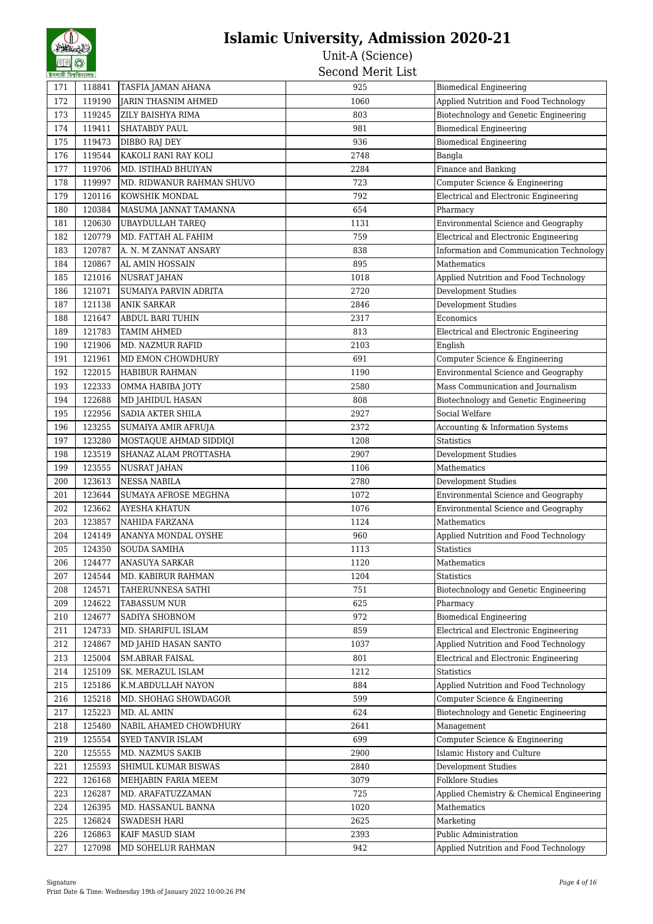| 171 | 118841 | TASFIA JAMAN AHANA         | 925  | <b>Biomedical Engineering</b>              |
|-----|--------|----------------------------|------|--------------------------------------------|
| 172 | 119190 | <b>JARIN THASNIM AHMED</b> | 1060 | Applied Nutrition and Food Technology      |
| 173 | 119245 | ZILY BAISHYA RIMA          | 803  | Biotechnology and Genetic Engineering      |
| 174 | 119411 | <b>SHATABDY PAUL</b>       | 981  | <b>Biomedical Engineering</b>              |
| 175 | 119473 | DIBBO RAJ DEY              | 936  | <b>Biomedical Engineering</b>              |
| 176 | 119544 | KAKOLI RANI RAY KOLI       | 2748 | Bangla                                     |
| 177 | 119706 | MD. ISTIHAD BHUIYAN        | 2284 | Finance and Banking                        |
| 178 | 119997 | MD. RIDWANUR RAHMAN SHUVO  | 723  | Computer Science & Engineering             |
| 179 | 120116 | KOWSHIK MONDAL             | 792  | Electrical and Electronic Engineering      |
| 180 | 120384 | MASUMA JANNAT TAMANNA      | 654  | Pharmacy                                   |
| 181 | 120630 | UBAYDULLAH TAREQ           | 1131 | Environmental Science and Geography        |
| 182 | 120779 | MD. FATTAH AL FAHIM        | 759  | Electrical and Electronic Engineering      |
| 183 | 120787 | A. N. M ZANNAT ANSARY      | 838  | Information and Communication Technology   |
| 184 | 120867 | AL AMIN HOSSAIN            | 895  | Mathematics                                |
| 185 | 121016 | <b>NUSRAT JAHAN</b>        | 1018 | Applied Nutrition and Food Technology      |
| 186 | 121071 | SUMAIYA PARVIN ADRITA      | 2720 | Development Studies                        |
| 187 | 121138 | <b>ANIK SARKAR</b>         | 2846 | <b>Development Studies</b>                 |
| 188 | 121647 | <b>ABDUL BARI TUHIN</b>    | 2317 | Economics                                  |
| 189 | 121783 | <b>TAMIM AHMED</b>         | 813  |                                            |
|     |        | <b>MD. NAZMUR RAFID</b>    |      | Electrical and Electronic Engineering      |
| 190 | 121906 |                            | 2103 | English<br>Computer Science & Engineering  |
| 191 | 121961 | MD EMON CHOWDHURY          | 691  |                                            |
| 192 | 122015 | <b>HABIBUR RAHMAN</b>      | 1190 | Environmental Science and Geography        |
| 193 | 122333 | OMMA HABIBA JOTY           | 2580 | Mass Communication and Journalism          |
| 194 | 122688 | MD JAHIDUL HASAN           | 808  | Biotechnology and Genetic Engineering      |
| 195 | 122956 | SADIA AKTER SHILA          | 2927 | Social Welfare                             |
| 196 | 123255 | SUMAIYA AMIR AFRUJA        | 2372 | Accounting & Information Systems           |
| 197 | 123280 | MOSTAQUE AHMAD SIDDIQI     | 1208 | <b>Statistics</b>                          |
| 198 | 123519 | SHANAZ ALAM PROTTASHA      | 2907 | Development Studies                        |
| 199 | 123555 | <b>NUSRAT JAHAN</b>        | 1106 | Mathematics                                |
| 200 | 123613 | <b>NESSA NABILA</b>        | 2780 | Development Studies                        |
| 201 | 123644 | SUMAYA AFROSE MEGHNA       | 1072 | Environmental Science and Geography        |
| 202 | 123662 | <b>AYESHA KHATUN</b>       | 1076 | <b>Environmental Science and Geography</b> |
| 203 | 123857 | NAHIDA FARZANA             | 1124 | Mathematics                                |
| 204 | 124149 | ANANYA MONDAL OYSHE        | 960  | Applied Nutrition and Food Technology      |
| 205 | 124350 | <b>SOUDA SAMIHA</b>        | 1113 | <b>Statistics</b>                          |
| 206 | 124477 | ANASUYA SARKAR             | 1120 | Mathematics                                |
| 207 | 124544 | MD. KABIRUR RAHMAN         | 1204 | <b>Statistics</b>                          |
| 208 | 124571 | TAHERUNNESA SATHI          | 751  | Biotechnology and Genetic Engineering      |
| 209 | 124622 | TABASSUM NUR               | 625  | Pharmacy                                   |
| 210 | 124677 | SADIYA SHOBNOM             | 972  | <b>Biomedical Engineering</b>              |
| 211 | 124733 | MD. SHARIFUL ISLAM         | 859  | Electrical and Electronic Engineering      |
| 212 | 124867 | MD JAHID HASAN SANTO       | 1037 | Applied Nutrition and Food Technology      |
| 213 | 125004 | <b>SM.ABRAR FAISAL</b>     | 801  | Electrical and Electronic Engineering      |
| 214 | 125109 | SK. MERAZUL ISLAM          | 1212 | <b>Statistics</b>                          |
| 215 | 125186 | K.M.ABDULLAH NAYON         | 884  | Applied Nutrition and Food Technology      |
| 216 | 125218 | MD. SHOHAG SHOWDAGOR       | 599  | Computer Science & Engineering             |
| 217 | 125223 | MD. AL AMIN                | 624  | Biotechnology and Genetic Engineering      |
| 218 | 125480 | NABIL AHAMED CHOWDHURY     | 2641 | Management                                 |
| 219 | 125554 | SYED TANVIR ISLAM          | 699  | Computer Science & Engineering             |
| 220 | 125555 | MD. NAZMUS SAKIB           | 2900 | Islamic History and Culture                |
| 221 | 125593 | SHIMUL KUMAR BISWAS        | 2840 | Development Studies                        |
| 222 | 126168 | MEHJABIN FARIA MEEM        | 3079 | <b>Folklore Studies</b>                    |
| 223 | 126287 | MD. ARAFATUZZAMAN          | 725  | Applied Chemistry & Chemical Engineering   |
| 224 | 126395 | MD. HASSANUL BANNA         | 1020 | Mathematics                                |
| 225 | 126824 | SWADESH HARI               | 2625 | Marketing                                  |
| 226 | 126863 | KAIF MASUD SIAM            | 2393 | Public Administration                      |
| 227 | 127098 | MD SOHELUR RAHMAN          | 942  | Applied Nutrition and Food Technology      |
|     |        |                            |      |                                            |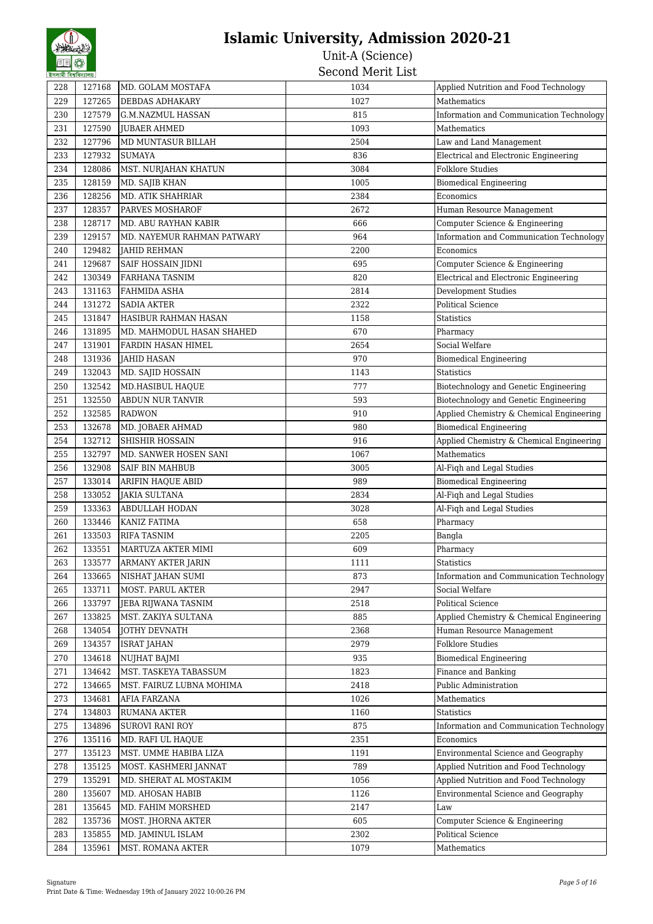| ইসলামা বিশ্ববিদ্যালয় |        |                                                | יניים יודחיות דימות |                                          |
|-----------------------|--------|------------------------------------------------|---------------------|------------------------------------------|
| 228                   | 127168 | MD. GOLAM MOSTAFA                              | 1034                | Applied Nutrition and Food Technology    |
| 229                   | 127265 | DEBDAS ADHAKARY                                | 1027                | Mathematics                              |
| 230                   | 127579 | G.M.NAZMUL HASSAN                              | 815                 | Information and Communication Technology |
| 231                   | 127590 | <b>JUBAER AHMED</b>                            | 1093                | Mathematics                              |
| 232                   | 127796 | MD MUNTASUR BILLAH                             | 2504                | Law and Land Management                  |
| 233                   | 127932 | <b>SUMAYA</b>                                  | 836                 | Electrical and Electronic Engineering    |
| 234                   | 128086 | MST. NURJAHAN KHATUN                           | 3084                | <b>Folklore Studies</b>                  |
| 235                   | 128159 | MD. SAJIB KHAN                                 | 1005                | <b>Biomedical Engineering</b>            |
| 236                   | 128256 | MD. ATIK SHAHRIAR                              | 2384                | Economics                                |
| 237                   | 128357 | PARVES MOSHAROF                                | 2672                | Human Resource Management                |
| 238                   | 128717 | MD. ABU RAYHAN KABIR                           | 666                 | Computer Science & Engineering           |
| 239                   | 129157 | MD. NAYEMUR RAHMAN PATWARY                     | 964                 | Information and Communication Technology |
| 240                   | 129482 | <b>JAHID REHMAN</b>                            | 2200                | Economics                                |
| 241                   | 129687 | SAIF HOSSAIN JIDNI                             | 695                 | Computer Science & Engineering           |
| 242                   | 130349 | FARHANA TASNIM                                 | 820                 | Electrical and Electronic Engineering    |
| 243                   | 131163 | <b>FAHMIDA ASHA</b>                            | 2814                | <b>Development Studies</b>               |
| 244                   | 131272 | <b>SADIA AKTER</b>                             | 2322                | <b>Political Science</b>                 |
| 245                   | 131847 | HASIBUR RAHMAN HASAN                           | 1158                | Statistics                               |
| 246                   | 131895 | MD. MAHMODUL HASAN SHAHED                      | 670                 | Pharmacy                                 |
| 247                   | 131901 | FARDIN HASAN HIMEL                             | 2654                | Social Welfare                           |
| 248                   | 131936 | <b>JAHID HASAN</b>                             | 970                 | <b>Biomedical Engineering</b>            |
| 249                   | 132043 | MD. SAJID HOSSAIN                              | 1143                | <b>Statistics</b>                        |
| 250                   | 132542 | MD.HASIBUL HAQUE                               | 777                 | Biotechnology and Genetic Engineering    |
| 251                   | 132550 | <b>ABDUN NUR TANVIR</b>                        | 593                 | Biotechnology and Genetic Engineering    |
| 252                   | 132585 | <b>RADWON</b>                                  | 910                 | Applied Chemistry & Chemical Engineering |
| 253                   | 132678 | MD. JOBAER AHMAD                               | 980                 | <b>Biomedical Engineering</b>            |
| 254                   | 132712 | SHISHIR HOSSAIN                                | 916                 | Applied Chemistry & Chemical Engineering |
| 255                   | 132797 | MD. SANWER HOSEN SANI                          | 1067                | Mathematics                              |
| 256                   | 132908 | <b>SAIF BIN MAHBUB</b>                         | 3005                | Al-Fiqh and Legal Studies                |
| 257                   | 133014 | <b>ARIFIN HAQUE ABID</b>                       | 989                 | <b>Biomedical Engineering</b>            |
| 258                   | 133052 | <b>JAKIA SULTANA</b>                           | 2834                | Al-Fiqh and Legal Studies                |
| 259                   | 133363 | ABDULLAH HODAN                                 | 3028                | Al-Fiqh and Legal Studies                |
| 260                   | 133446 | KANIZ FATIMA                                   | 658                 | Pharmacy                                 |
| 261                   | 133503 | <b>RIFA TASNIM</b>                             | 2205                | Bangla                                   |
| 262                   | 133551 |                                                | 609                 | Pharmacy                                 |
|                       |        | MARTUZA AKTER MIMI                             |                     |                                          |
| 263                   | 133577 | <b>ARMANY AKTER JARIN</b><br>NISHAT JAHAN SUMI | 1111                | <b>Statistics</b>                        |
| 264                   | 133665 |                                                | 873                 | Information and Communication Technology |
| 265                   | 133711 | MOST. PARUL AKTER                              | 2947                | Social Welfare                           |
| 266                   | 133797 | JEBA RIJWANA TASNIM                            | 2518                | Political Science                        |
| 267                   | 133825 | MST. ZAKIYA SULTANA                            | 885                 | Applied Chemistry & Chemical Engineering |
| 268                   | 134054 | JOTHY DEVNATH                                  | 2368                | Human Resource Management                |
| 269                   | 134357 | <b>ISRAT JAHAN</b>                             | 2979                | <b>Folklore Studies</b>                  |
| 270                   | 134618 | NUJHAT BAJMI                                   | 935                 | <b>Biomedical Engineering</b>            |
| 271                   | 134642 | MST. TASKEYA TABASSUM                          | 1823                | Finance and Banking                      |
| 272                   | 134665 | MST. FAIRUZ LUBNA MOHIMA                       | 2418                | Public Administration                    |
| 273                   | 134681 | AFIA FARZANA                                   | 1026                | Mathematics                              |
| 274                   | 134803 | RUMANA AKTER                                   | 1160                | Statistics                               |
| 275                   | 134896 | <b>SUROVI RANI ROY</b>                         | 875                 | Information and Communication Technology |
| 276                   | 135116 | MD. RAFI UL HAQUE                              | 2351                | Economics                                |
| 277                   | 135123 | MST. UMME HABIBA LIZA                          | 1191                | Environmental Science and Geography      |
| 278                   | 135125 | MOST. KASHMERI JANNAT                          | 789                 | Applied Nutrition and Food Technology    |
| 279                   | 135291 | MD. SHERAT AL MOSTAKIM                         | 1056                | Applied Nutrition and Food Technology    |
| 280                   | 135607 | MD. AHOSAN HABIB                               | 1126                | Environmental Science and Geography      |
| 281                   | 135645 | MD. FAHIM MORSHED                              | 2147                | Law                                      |
| 282                   | 135736 | MOST. JHORNA AKTER                             | 605                 | Computer Science & Engineering           |
| 283                   | 135855 | MD. JAMINUL ISLAM                              | 2302                | Political Science                        |
| 284                   | 135961 | MST. ROMANA AKTER                              | 1079                | Mathematics                              |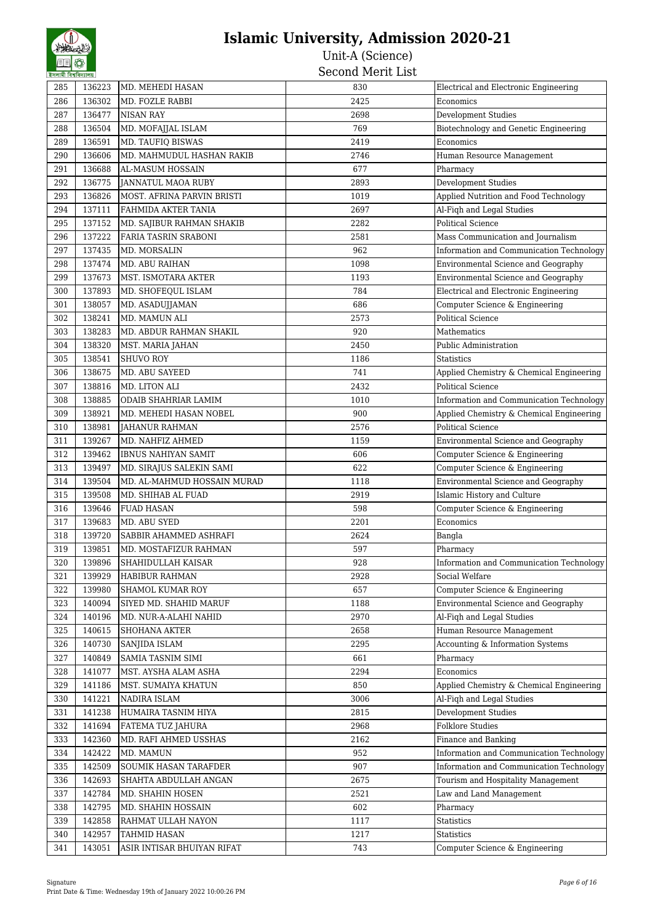| 5441411441441 |        |                             |      |                                          |
|---------------|--------|-----------------------------|------|------------------------------------------|
| 285           | 136223 | MD. MEHEDI HASAN            | 830  | Electrical and Electronic Engineering    |
| 286           | 136302 | MD. FOZLE RABBI             | 2425 | Economics                                |
| 287           | 136477 | <b>NISAN RAY</b>            | 2698 | Development Studies                      |
| 288           | 136504 | MD. MOFAJJAL ISLAM          | 769  | Biotechnology and Genetic Engineering    |
| 289           | 136591 | MD. TAUFIQ BISWAS           | 2419 | Economics                                |
| 290           | 136606 | MD. MAHMUDUL HASHAN RAKIB   | 2746 | Human Resource Management                |
| 291           | 136688 | AL-MASUM HOSSAIN            | 677  | Pharmacy                                 |
| 292           | 136775 | JANNATUL MAOA RUBY          | 2893 | <b>Development Studies</b>               |
| 293           | 136826 | MOST. AFRINA PARVIN BRISTI  | 1019 | Applied Nutrition and Food Technology    |
| 294           | 137111 | FAHMIDA AKTER TANIA         | 2697 | Al-Fiqh and Legal Studies                |
| 295           | 137152 | MD. SAJIBUR RAHMAN SHAKIB   | 2282 | <b>Political Science</b>                 |
| 296           | 137222 | FARIA TASRIN SRABONI        | 2581 | Mass Communication and Journalism        |
| 297           | 137435 | MD. MORSALIN                | 962  | Information and Communication Technology |
| 298           | 137474 | MD. ABU RAIHAN              | 1098 | Environmental Science and Geography      |
| 299           | 137673 | MST. ISMOTARA AKTER         | 1193 | Environmental Science and Geography      |
| 300           | 137893 | MD. SHOFEOUL ISLAM          | 784  | Electrical and Electronic Engineering    |
| 301           | 138057 | MD. ASADUJJAMAN             | 686  | Computer Science & Engineering           |
| 302           | 138241 | MD. MAMUN ALI               | 2573 | <b>Political Science</b>                 |
| 303           | 138283 | MD. ABDUR RAHMAN SHAKIL     | 920  | Mathematics                              |
| 304           | 138320 | MST. MARIA JAHAN            | 2450 | Public Administration                    |
| 305           | 138541 | <b>SHUVO ROY</b>            | 1186 | <b>Statistics</b>                        |
| 306           | 138675 | MD. ABU SAYEED              | 741  | Applied Chemistry & Chemical Engineering |
| 307           | 138816 | MD. LITON ALI               | 2432 | <b>Political Science</b>                 |
| 308           | 138885 | ODAIB SHAHRIAR LAMIM        | 1010 | Information and Communication Technology |
| 309           | 138921 | MD. MEHEDI HASAN NOBEL      | 900  | Applied Chemistry & Chemical Engineering |
| 310           | 138981 | <b>JAHANUR RAHMAN</b>       | 2576 | <b>Political Science</b>                 |
| 311           | 139267 | MD. NAHFIZ AHMED            | 1159 | Environmental Science and Geography      |
| 312           | 139462 | <b>IBNUS NAHIYAN SAMIT</b>  | 606  | Computer Science & Engineering           |
| 313           | 139497 | MD. SIRAJUS SALEKIN SAMI    | 622  | Computer Science & Engineering           |
| 314           | 139504 | MD. AL-MAHMUD HOSSAIN MURAD | 1118 | Environmental Science and Geography      |
| 315           | 139508 | MD. SHIHAB AL FUAD          | 2919 | Islamic History and Culture              |
| 316           | 139646 | <b>FUAD HASAN</b>           | 598  | Computer Science & Engineering           |
| 317           | 139683 | MD. ABU SYED                | 2201 | Economics                                |
| 318           | 139720 | SABBIR AHAMMED ASHRAFI      | 2624 | Bangla                                   |
| 319           | 139851 | MD. MOSTAFIZUR RAHMAN       | 597  | Pharmacy                                 |
| 320           | 139896 | SHAHIDULLAH KAISAR          | 928  | Information and Communication Technology |
| 321           | 139929 | HABIBUR RAHMAN              | 2928 | Social Welfare                           |
| 322           | 139980 | SHAMOL KUMAR ROY            | 657  | Computer Science & Engineering           |
| 323           | 140094 | SIYED MD. SHAHID MARUF      | 1188 | Environmental Science and Geography      |
| 324           | 140196 | MD. NUR-A-ALAHI NAHID       | 2970 | Al-Fiqh and Legal Studies                |
| 325           | 140615 | SHOHANA AKTER               | 2658 | Human Resource Management                |
| 326           | 140730 | SANJIDA ISLAM               | 2295 | Accounting & Information Systems         |
| 327           | 140849 | <b>SAMIA TASNIM SIMI</b>    | 661  | Pharmacy                                 |
| 328           | 141077 | MST. AYSHA ALAM ASHA        | 2294 | Economics                                |
| 329           | 141186 | MST. SUMAIYA KHATUN         | 850  | Applied Chemistry & Chemical Engineering |
| 330           | 141221 | NADIRA ISLAM                | 3006 | Al-Figh and Legal Studies                |
| 331           | 141238 | HUMAIRA TASNIM HIYA         | 2815 | Development Studies                      |
| 332           | 141694 | FATEMA TUZ JAHURA           | 2968 | <b>Folklore Studies</b>                  |
| 333           | 142360 | MD. RAFI AHMED USSHAS       | 2162 | Finance and Banking                      |
| 334           | 142422 | MD. MAMUN                   | 952  | Information and Communication Technology |
| 335           | 142509 | SOUMIK HASAN TARAFDER       | 907  | Information and Communication Technology |
| 336           | 142693 | SHAHTA ABDULLAH ANGAN       | 2675 | Tourism and Hospitality Management       |
| 337           | 142784 | MD. SHAHIN HOSEN            | 2521 | Law and Land Management                  |
| 338           | 142795 | MD. SHAHIN HOSSAIN          | 602  | Pharmacy                                 |
| 339           | 142858 | RAHMAT ULLAH NAYON          | 1117 | Statistics                               |
| 340           | 142957 | TAHMID HASAN                | 1217 | Statistics                               |
| 341           | 143051 | ASIR INTISAR BHUIYAN RIFAT  | 743  | Computer Science & Engineering           |
|               |        |                             |      |                                          |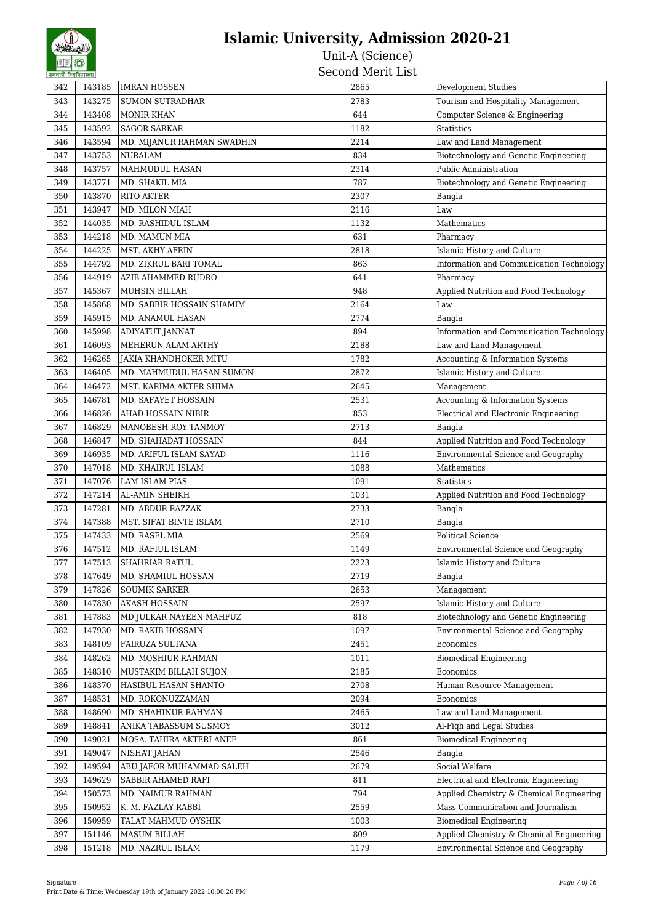| 342        | 143185           | <b>IMRAN HOSSEN</b>                        | 2865         | Development Studies                                                |
|------------|------------------|--------------------------------------------|--------------|--------------------------------------------------------------------|
| 343        | 143275           | <b>SUMON SUTRADHAR</b>                     | 2783         | Tourism and Hospitality Management                                 |
| 344        | 143408           | <b>MONIR KHAN</b>                          | 644          | Computer Science & Engineering                                     |
| 345        | 143592           | <b>SAGOR SARKAR</b>                        | 1182         | <b>Statistics</b>                                                  |
| 346        | 143594           | MD. MIJANUR RAHMAN SWADHIN                 | 2214         | Law and Land Management                                            |
| 347        | 143753           | <b>NURALAM</b>                             | 834          | Biotechnology and Genetic Engineering                              |
| 348        | 143757           | MAHMUDUL HASAN                             | 2314         | Public Administration                                              |
| 349        | 143771           | MD. SHAKIL MIA                             | 787          | Biotechnology and Genetic Engineering                              |
| 350        | 143870           | <b>RITO AKTER</b>                          | 2307         | Bangla                                                             |
| 351        | 143947           | MD. MILON MIAH                             | 2116         | Law                                                                |
| 352        | 144035           | MD. RASHIDUL ISLAM                         | 1132         | Mathematics                                                        |
| 353        | 144218           | MD. MAMUN MIA                              | 631          | Pharmacy                                                           |
| 354        | 144225           | <b>MST. AKHY AFRIN</b>                     | 2818         | Islamic History and Culture                                        |
| 355        | 144792           | MD. ZIKRUL BARI TOMAL                      | 863          | Information and Communication Technology                           |
| 356        | 144919           | AZIB AHAMMED RUDRO                         | 641          | Pharmacy                                                           |
| 357        | 145367           | MUHSIN BILLAH                              | 948          | Applied Nutrition and Food Technology                              |
| 358        | 145868           | MD. SABBIR HOSSAIN SHAMIM                  | 2164         | Law                                                                |
| 359        | 145915           | MD. ANAMUL HASAN                           | 2774         | Bangla                                                             |
| 360        | 145998           | ADIYATUT JANNAT                            | 894          | Information and Communication Technology                           |
| 361        | 146093           | MEHERUN ALAM ARTHY                         | 2188         | Law and Land Management                                            |
| 362        | 146265           | <b>JAKIA KHANDHOKER MITU</b>               | 1782         | Accounting & Information Systems                                   |
| 363        | 146405           | MD. MAHMUDUL HASAN SUMON                   | 2872         | Islamic History and Culture                                        |
| 364        | 146472           | MST. KARIMA AKTER SHIMA                    | 2645         | Management                                                         |
| 365        | 146781           | MD. SAFAYET HOSSAIN                        | 2531         | Accounting & Information Systems                                   |
| 366        | 146826           | AHAD HOSSAIN NIBIR                         | 853          | Electrical and Electronic Engineering                              |
| 367        | 146829           | MANOBESH ROY TANMOY                        | 2713         | Bangla                                                             |
|            |                  |                                            |              | Applied Nutrition and Food Technology                              |
| 368        | 146847           | MD. SHAHADAT HOSSAIN                       | 844          |                                                                    |
| 369        | 146935           | MD. ARIFUL ISLAM SAYAD                     | 1116         | Environmental Science and Geography<br>Mathematics                 |
| 370<br>371 | 147018<br>147076 | MD. KHAIRUL ISLAM<br><b>LAM ISLAM PIAS</b> | 1088<br>1091 | <b>Statistics</b>                                                  |
| 372        | 147214           | AL-AMIN SHEIKH                             | 1031         | Applied Nutrition and Food Technology                              |
| 373        | 147281           | MD. ABDUR RAZZAK                           | 2733         |                                                                    |
| 374        | 147388           | MST. SIFAT BINTE ISLAM                     | 2710         | Bangla<br>Bangla                                                   |
| 375        | 147433           |                                            | 2569         | <b>Political Science</b>                                           |
| 376        | 147512           | MD. RASEL MIA<br>MD. RAFIUL ISLAM          | 1149         |                                                                    |
| 377        | 147513           |                                            | 2223         | Environmental Science and Geography<br>Islamic History and Culture |
| 378        | 147649           | SHAHRIAR RATUL<br>MD. SHAMIUL HOSSAN       | 2719         | Bangla                                                             |
| 379        | 147826           | <b>SOUMIK SARKER</b>                       | 2653         | Management                                                         |
|            | 147830           | <b>AKASH HOSSAIN</b>                       | 2597         | Islamic History and Culture                                        |
| 380<br>381 | 147883           | MD JULKAR NAYEEN MAHFUZ                    | 818          | Biotechnology and Genetic Engineering                              |
| 382        | 147930           | MD. RAKIB HOSSAIN                          | 1097         | Environmental Science and Geography                                |
| 383        | 148109           |                                            | 2451         | Economics                                                          |
| 384        | 148262           | FAIRUZA SULTANA<br>MD. MOSHIUR RAHMAN      | 1011         | <b>Biomedical Engineering</b>                                      |
| 385        | 148310           |                                            | 2185         | Economics                                                          |
| 386        | 148370           | MUSTAKIM BILLAH SUJON                      | 2708         | Human Resource Management                                          |
| 387        | 148531           | HASIBUL HASAN SHANTO                       | 2094         | Economics                                                          |
|            |                  | MD. ROKONUZZAMAN                           |              | Law and Land Management                                            |
| 388<br>389 | 148690<br>148841 | MD. SHAHINUR RAHMAN                        | 2465<br>3012 | Al-Fiqh and Legal Studies                                          |
|            |                  | ANIKA TABASSUM SUSMOY                      |              |                                                                    |
| 390        | 149021           | MOSA. TAHIRA AKTERI ANEE                   | 861          | <b>Biomedical Engineering</b>                                      |
| 391        | 149047           | NISHAT JAHAN                               | 2546         | Bangla                                                             |
| 392        | 149594           | ABU JAFOR MUHAMMAD SALEH                   | 2679         | Social Welfare                                                     |
| 393        | 149629           | SABBIR AHAMED RAFI                         | 811          | Electrical and Electronic Engineering                              |
| 394        | 150573           | MD. NAIMUR RAHMAN                          | 794          | Applied Chemistry & Chemical Engineering                           |
| 395        | 150952           | K. M. FAZLAY RABBI                         | 2559         | Mass Communication and Journalism                                  |
| 396        | 150959           | TALAT MAHMUD OYSHIK                        | 1003         | <b>Biomedical Engineering</b>                                      |
| 397        | 151146           | MASUM BILLAH                               | 809          | Applied Chemistry & Chemical Engineering                           |
| 398        | 151218           | MD. NAZRUL ISLAM                           | 1179         | Environmental Science and Geography                                |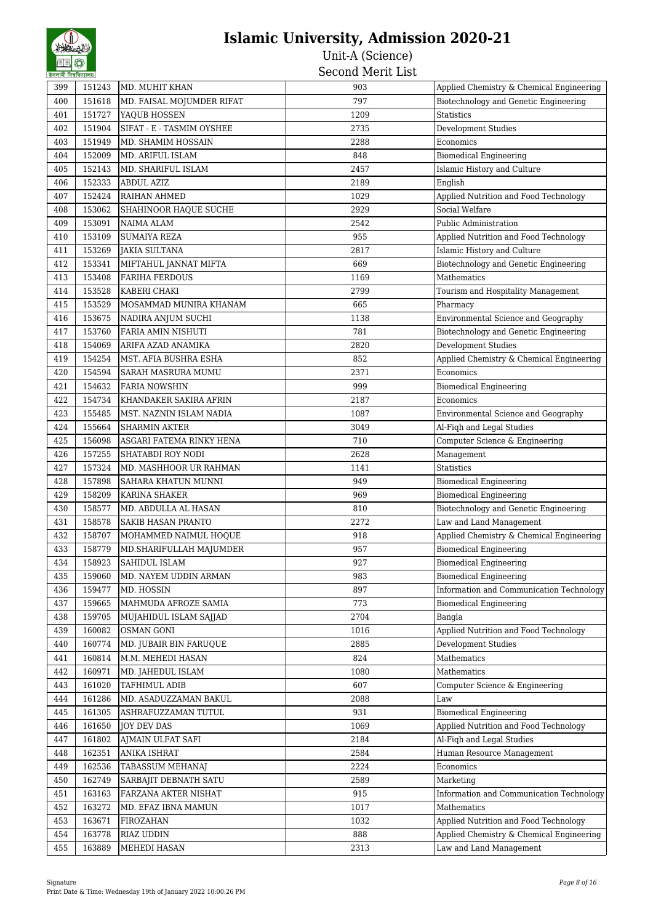| 5441411441441 |                  | MD. MUHIT KHAN            |            |                                                                                   |
|---------------|------------------|---------------------------|------------|-----------------------------------------------------------------------------------|
| 399<br>400    | 151243<br>151618 |                           | 903<br>797 | Applied Chemistry & Chemical Engineering<br>Biotechnology and Genetic Engineering |
|               |                  | MD. FAISAL MOJUMDER RIFAT |            |                                                                                   |
| 401           | 151727           | YAQUB HOSSEN              | 1209       | <b>Statistics</b>                                                                 |
| 402           | 151904           | SIFAT - E - TASMIM OYSHEE | 2735       | Development Studies                                                               |
| 403           | 151949           | MD. SHAMIM HOSSAIN        | 2288       | Economics                                                                         |
| 404           | 152009           | MD. ARIFUL ISLAM          | 848        | <b>Biomedical Engineering</b>                                                     |
| 405           | 152143           | MD. SHARIFUL ISLAM        | 2457       | Islamic History and Culture                                                       |
| 406           | 152333           | ABDUL AZIZ                | 2189       | English                                                                           |
| 407           | 152424           | RAIHAN AHMED              | 1029       | Applied Nutrition and Food Technology                                             |
| 408           | 153062           | SHAHINOOR HAQUE SUCHE     | 2929       | Social Welfare                                                                    |
| 409           | 153091           | <b>NAIMA ALAM</b>         | 2542       | <b>Public Administration</b>                                                      |
| 410           | 153109           | <b>SUMAIYA REZA</b>       | 955        | Applied Nutrition and Food Technology                                             |
| 411           | 153269           | <b>JAKIA SULTANA</b>      | 2817       | Islamic History and Culture                                                       |
| 412           | 153341           | MIFTAHUL JANNAT MIFTA     | 669        | Biotechnology and Genetic Engineering                                             |
| 413           | 153408           | <b>FARIHA FERDOUS</b>     | 1169       | Mathematics                                                                       |
| 414           | 153528           | KABERI CHAKI              | 2799       | Tourism and Hospitality Management                                                |
| 415           | 153529           | MOSAMMAD MUNIRA KHANAM    | 665        | Pharmacy                                                                          |
| 416           | 153675           | NADIRA ANJUM SUCHI        | 1138       | Environmental Science and Geography                                               |
| 417           | 153760           | FARIA AMIN NISHUTI        | 781        | Biotechnology and Genetic Engineering                                             |
| 418           | 154069           | ARIFA AZAD ANAMIKA        | 2820       | Development Studies                                                               |
| 419           | 154254           | MST. AFIA BUSHRA ESHA     | 852        | Applied Chemistry & Chemical Engineering                                          |
| 420           | 154594           | SARAH MASRURA MUMU        | 2371       | Economics                                                                         |
| 421           | 154632           | <b>FARIA NOWSHIN</b>      | 999        | <b>Biomedical Engineering</b>                                                     |
| 422           | 154734           | KHANDAKER SAKIRA AFRIN    | 2187       | Economics                                                                         |
| 423           | 155485           | MST. NAZNIN ISLAM NADIA   | 1087       | Environmental Science and Geography                                               |
| 424           | 155664           | <b>SHARMIN AKTER</b>      | 3049       | Al-Fiqh and Legal Studies                                                         |
| 425           | 156098           | ASGARI FATEMA RINKY HENA  | 710        | Computer Science & Engineering                                                    |
| 426           | 157255           | SHATABDI ROY NODI         | 2628       | Management                                                                        |
| 427           | 157324           | MD. MASHHOOR UR RAHMAN    | 1141       | <b>Statistics</b>                                                                 |
|               |                  |                           | 949        |                                                                                   |
| 428           | 157898           | SAHARA KHATUN MUNNI       |            | <b>Biomedical Engineering</b>                                                     |
| 429           | 158209           | KARINA SHAKER             | 969        | <b>Biomedical Engineering</b>                                                     |
| 430           | 158577           | MD. ABDULLA AL HASAN      | 810        | Biotechnology and Genetic Engineering                                             |
| 431           | 158578           | <b>SAKIB HASAN PRANTO</b> | 2272       | Law and Land Management                                                           |
| 432           | 158707           | MOHAMMED NAIMUL HOQUE     | 918        | Applied Chemistry & Chemical Engineering                                          |
| 433           | 158779           | MD. SHARIFULLAH MAJUMDER  | 957        | <b>Biomedical Engineering</b>                                                     |
| 434           | 158923           | SAHIDUL ISLAM             | 927        | <b>Biomedical Engineering</b>                                                     |
| 435           | 159060           | MD. NAYEM UDDIN ARMAN     | 983        | <b>Biomedical Engineering</b>                                                     |
| 436           | 159477           | MD. HOSSIN                | 897        | Information and Communication Technology                                          |
| 437           | 159665           | MAHMUDA AFROZE SAMIA      | 773        | <b>Biomedical Engineering</b>                                                     |
| 438           | 159705           | MUJAHIDUL ISLAM SAJJAD    | 2704       | Bangla                                                                            |
| 439           | 160082           | <b>OSMAN GONI</b>         | 1016       | Applied Nutrition and Food Technology                                             |
| 440           | 160774           | MD. JUBAIR BIN FARUQUE    | 2885       | Development Studies                                                               |
| 441           | 160814           | M.M. MEHEDI HASAN         | 824        | Mathematics                                                                       |
| 442           | 160971           | MD. JAHEDUL ISLAM         | 1080       | Mathematics                                                                       |
| 443           | 161020           | TAFHIMUL ADIB             | 607        | Computer Science & Engineering                                                    |
| 444           | 161286           | MD. ASADUZZAMAN BAKUL     | 2088       | Law                                                                               |
| 445           | 161305           | ASHRAFUZZAMAN TUTUL       | 931        | <b>Biomedical Engineering</b>                                                     |
| 446           | 161650           | <b>JOY DEV DAS</b>        | 1069       | Applied Nutrition and Food Technology                                             |
| 447           | 161802           | AJMAIN ULFAT SAFI         | 2184       | Al-Fiqh and Legal Studies                                                         |
| 448           | 162351           | ANIKA ISHRAT              | 2584       | Human Resource Management                                                         |
| 449           | 162536           | TABASSUM MEHANAJ          | 2224       | Economics                                                                         |
| 450           | 162749           | SARBAJIT DEBNATH SATU     | 2589       | Marketing                                                                         |
| 451           | 163163           | FARZANA AKTER NISHAT      | 915        | Information and Communication Technology                                          |
| 452           | 163272           | MD. EFAZ IBNA MAMUN       | 1017       | Mathematics                                                                       |
| 453           | 163671           | FIROZAHAN                 | 1032       | Applied Nutrition and Food Technology                                             |
| 454           | 163778           | <b>RIAZ UDDIN</b>         | 888        | Applied Chemistry & Chemical Engineering                                          |
|               |                  |                           |            |                                                                                   |
| 455           | 163889           | MEHEDI HASAN              | 2313       | Law and Land Management                                                           |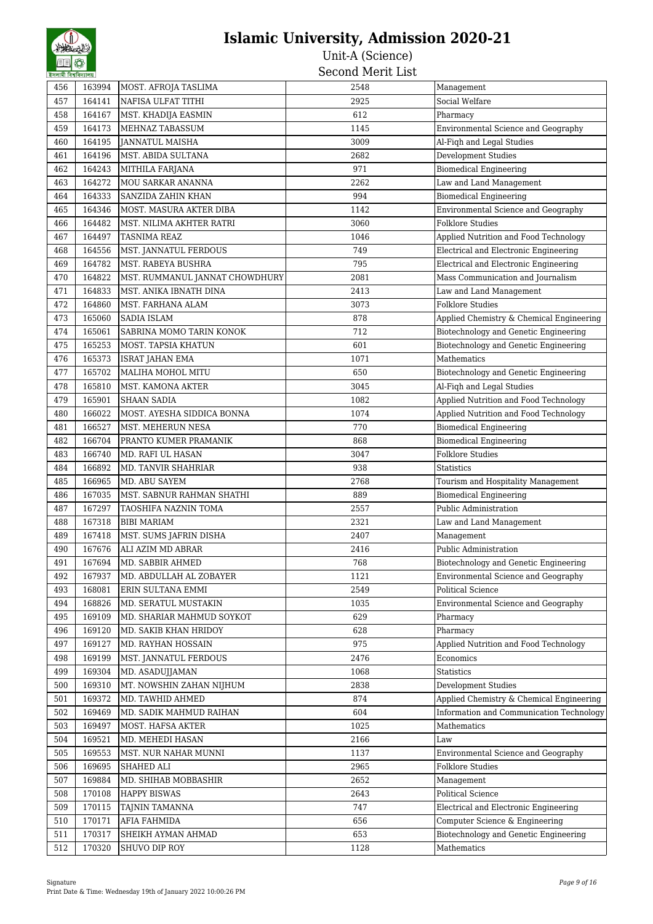| হসলামা বিশ্বাবদ্যালয় |                  |                                          |      |                                          |
|-----------------------|------------------|------------------------------------------|------|------------------------------------------|
| 456                   | 163994           | MOST. AFROJA TASLIMA                     | 2548 | Management                               |
| 457                   | 164141           | NAFISA ULFAT TITHI                       | 2925 | Social Welfare                           |
| 458                   | 164167           | MST. KHADIJA EASMIN                      | 612  | Pharmacy                                 |
| 459                   | 164173           | MEHNAZ TABASSUM                          | 1145 | Environmental Science and Geography      |
| 460                   | 164195           | JANNATUL MAISHA                          | 3009 | Al-Fiqh and Legal Studies                |
| 461                   | 164196           | MST. ABIDA SULTANA                       | 2682 | <b>Development Studies</b>               |
| 462                   | 164243           | MITHILA FARJANA                          | 971  | <b>Biomedical Engineering</b>            |
| 463                   | 164272           | MOU SARKAR ANANNA                        | 2262 | Law and Land Management                  |
| 464                   | 164333           | SANZIDA ZAHIN KHAN                       | 994  | <b>Biomedical Engineering</b>            |
| 465                   | 164346           | MOST. MASURA AKTER DIBA                  | 1142 | Environmental Science and Geography      |
| 466                   | 164482           | MST. NILIMA AKHTER RATRI                 | 3060 | <b>Folklore Studies</b>                  |
| 467                   | 164497           | TASNIMA REAZ                             | 1046 | Applied Nutrition and Food Technology    |
| 468                   | 164556           | MST. JANNATUL FERDOUS                    | 749  | Electrical and Electronic Engineering    |
| 469                   | 164782           | MST. RABEYA BUSHRA                       | 795  | Electrical and Electronic Engineering    |
| 470                   | 164822           | MST. RUMMANUL JANNAT CHOWDHURY           | 2081 | Mass Communication and Journalism        |
| 471                   | 164833           | MST. ANIKA IBNATH DINA                   | 2413 | Law and Land Management                  |
| 472                   | 164860           | MST. FARHANA ALAM                        | 3073 | <b>Folklore Studies</b>                  |
| 473                   | 165060           | SADIA ISLAM                              | 878  | Applied Chemistry & Chemical Engineering |
| 474                   | 165061           | SABRINA MOMO TARIN KONOK                 | 712  | Biotechnology and Genetic Engineering    |
| 475                   | 165253           | MOST. TAPSIA KHATUN                      | 601  | Biotechnology and Genetic Engineering    |
| 476                   | 165373           | <b>ISRAT JAHAN EMA</b>                   | 1071 | Mathematics                              |
| 477                   | 165702           | <b>MALIHA MOHOL MITU</b>                 | 650  | Biotechnology and Genetic Engineering    |
| 478                   | 165810           | <b>MST. KAMONA AKTER</b>                 | 3045 | Al-Fiqh and Legal Studies                |
| 479                   | 165901           | <b>SHAAN SADIA</b>                       | 1082 | Applied Nutrition and Food Technology    |
| 480                   | 166022           | MOST. AYESHA SIDDICA BONNA               | 1074 | Applied Nutrition and Food Technology    |
| 481                   | 166527           | MST. MEHERUN NESA                        | 770  | Biomedical Engineering                   |
| 482                   | 166704           | PRANTO KUMER PRAMANIK                    | 868  | <b>Biomedical Engineering</b>            |
| 483                   | 166740           | MD. RAFI UL HASAN                        | 3047 | <b>Folklore Studies</b>                  |
| 484                   | 166892           | MD. TANVIR SHAHRIAR                      | 938  | Statistics                               |
| 485                   | 166965           | MD. ABU SAYEM                            | 2768 | Tourism and Hospitality Management       |
| 486                   | 167035           | MST. SABNUR RAHMAN SHATHI                | 889  | <b>Biomedical Engineering</b>            |
| 487                   | 167297           | TAOSHIFA NAZNIN TOMA                     | 2557 | Public Administration                    |
| 488                   | 167318           | <b>BIBI MARIAM</b>                       | 2321 | Law and Land Management                  |
| 489                   | 167418           | MST. SUMS JAFRIN DISHA                   | 2407 | Management                               |
| 490                   | 167676           | ALI AZIM MD ABRAR                        | 2416 | Public Administration                    |
| 491                   | 167694           | MD. SABBIR AHMED                         | 768  | Biotechnology and Genetic Engineering    |
| 492                   | 167937           | MD. ABDULLAH AL ZOBAYER                  | 1121 | Environmental Science and Geography      |
| 493                   | 168081           | ERIN SULTANA EMMI                        | 2549 | <b>Political Science</b>                 |
| 494                   | 168826           | MD. SERATUL MUSTAKIN                     | 1035 | Environmental Science and Geography      |
| 495                   | 169109           | MD. SHARIAR MAHMUD SOYKOT                | 629  | Pharmacy                                 |
| 496                   | 169120           | MD. SAKIB KHAN HRIDOY                    | 628  | Pharmacy                                 |
| 497                   | 169127           | MD. RAYHAN HOSSAIN                       | 975  | Applied Nutrition and Food Technology    |
| 498                   | 169199           | MST. JANNATUL FERDOUS                    | 2476 | Economics                                |
| 499                   | 169304           | MD. ASADUJJAMAN                          | 1068 | <b>Statistics</b>                        |
| 500                   | 169310           | MT. NOWSHIN ZAHAN NIJHUM                 | 2838 | Development Studies                      |
| 501                   | 169372           | MD. TAWHID AHMED                         | 874  | Applied Chemistry & Chemical Engineering |
| 502                   | 169469           | MD. SADIK MAHMUD RAIHAN                  | 604  | Information and Communication Technology |
|                       |                  |                                          | 1025 | Mathematics                              |
| 503<br>504            | 169497<br>169521 | MOST. HAFSA AKTER                        | 2166 |                                          |
| 505                   |                  | MD. MEHEDI HASAN<br>MST. NUR NAHAR MUNNI | 1137 | Law                                      |
|                       | 169553           |                                          |      | Environmental Science and Geography      |
| 506                   | 169695           | SHAHED ALI                               | 2965 | <b>Folklore Studies</b>                  |
| 507                   | 169884           | MD. SHIHAB MOBBASHIR                     | 2652 | Management                               |
| 508                   | 170108           | <b>HAPPY BISWAS</b>                      | 2643 | <b>Political Science</b>                 |
| 509                   | 170115           | TAJNIN TAMANNA                           | 747  | Electrical and Electronic Engineering    |
| 510                   | 170171           | AFIA FAHMIDA                             | 656  | Computer Science & Engineering           |
| 511                   | 170317           | SHEIKH AYMAN AHMAD                       | 653  | Biotechnology and Genetic Engineering    |
| 512                   | 170320           | SHUVO DIP ROY                            | 1128 | Mathematics                              |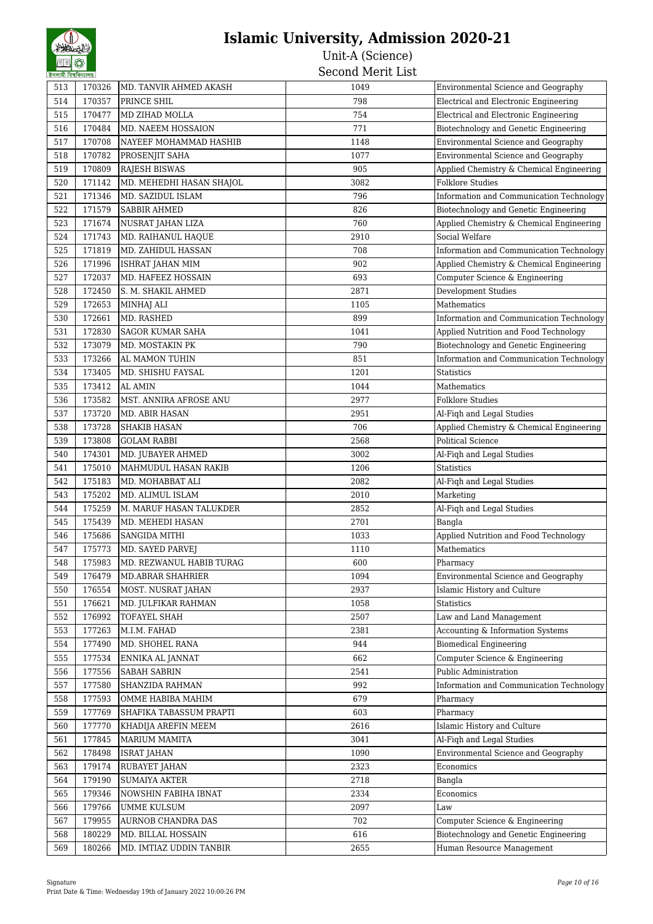| হসলামা বিশ্বাবদ্যালয় |        |                          |      |                                          |
|-----------------------|--------|--------------------------|------|------------------------------------------|
| 513                   | 170326 | MD. TANVIR AHMED AKASH   | 1049 | Environmental Science and Geography      |
| 514                   | 170357 | PRINCE SHIL              | 798  | Electrical and Electronic Engineering    |
| 515                   | 170477 | MD ZIHAD MOLLA           | 754  | Electrical and Electronic Engineering    |
| 516                   | 170484 | MD. NAEEM HOSSAION       | 771  | Biotechnology and Genetic Engineering    |
| 517                   | 170708 | NAYEEF MOHAMMAD HASHIB   | 1148 | Environmental Science and Geography      |
| 518                   | 170782 | PROSENJIT SAHA           | 1077 | Environmental Science and Geography      |
| 519                   | 170809 | <b>RAJESH BISWAS</b>     | 905  | Applied Chemistry & Chemical Engineering |
| 520                   | 171142 | MD. MEHEDHI HASAN SHAJOL | 3082 | <b>Folklore Studies</b>                  |
| 521                   | 171346 | MD. SAZIDUL ISLAM        | 796  | Information and Communication Technology |
| 522                   | 171579 | <b>SABBIR AHMED</b>      | 826  | Biotechnology and Genetic Engineering    |
| 523                   | 171674 | NUSRAT JAHAN LIZA        | 760  | Applied Chemistry & Chemical Engineering |
| 524                   | 171743 | MD. RAIHANUL HAQUE       | 2910 | Social Welfare                           |
| 525                   | 171819 | MD. ZAHIDUL HASSAN       | 708  | Information and Communication Technology |
| 526                   | 171996 | ISHRAT JAHAN MIM         | 902  | Applied Chemistry & Chemical Engineering |
| 527                   | 172037 | MD. HAFEEZ HOSSAIN       | 693  | Computer Science & Engineering           |
| 528                   | 172450 | S. M. SHAKIL AHMED       | 2871 | Development Studies                      |
| 529                   | 172653 | MINHAJ ALI               | 1105 | Mathematics                              |
| 530                   | 172661 | MD. RASHED               | 899  | Information and Communication Technology |
| 531                   | 172830 | <b>SAGOR KUMAR SAHA</b>  | 1041 | Applied Nutrition and Food Technology    |
| 532                   | 173079 | MD. MOSTAKIN PK          | 790  | Biotechnology and Genetic Engineering    |
| 533                   | 173266 | AL MAMON TUHIN           | 851  | Information and Communication Technology |
| 534                   | 173405 | MD. SHISHU FAYSAL        | 1201 | <b>Statistics</b>                        |
| 535                   | 173412 | <b>AL AMIN</b>           | 1044 | Mathematics                              |
| 536                   | 173582 | MST. ANNIRA AFROSE ANU   | 2977 | <b>Folklore Studies</b>                  |
| 537                   | 173720 | MD. ABIR HASAN           | 2951 | Al-Fiqh and Legal Studies                |
| 538                   | 173728 | <b>SHAKIB HASAN</b>      | 706  | Applied Chemistry & Chemical Engineering |
| 539                   | 173808 | <b>GOLAM RABBI</b>       | 2568 | Political Science                        |
| 540                   | 174301 | MD. JUBAYER AHMED        | 3002 | Al-Fiqh and Legal Studies                |
| 541                   | 175010 | MAHMUDUL HASAN RAKIB     | 1206 | <b>Statistics</b>                        |
| 542                   | 175183 | MD. MOHABBAT ALI         | 2082 | Al-Fiqh and Legal Studies                |
| 543                   | 175202 | MD. ALIMUL ISLAM         | 2010 | Marketing                                |
| 544                   | 175259 | M. MARUF HASAN TALUKDER  | 2852 | Al-Fiqh and Legal Studies                |
| 545                   | 175439 | MD. MEHEDI HASAN         | 2701 | Bangla                                   |
| 546                   | 175686 | <b>SANGIDA MITHI</b>     | 1033 | Applied Nutrition and Food Technology    |
| 547                   | 175773 | MD. SAYED PARVEJ         | 1110 | Mathematics                              |
| 548                   | 175983 | MD. REZWANUL HABIB TURAG | 600  | Pharmacy                                 |
| 549                   | 176479 | <b>MD.ABRAR SHAHRIER</b> | 1094 | Environmental Science and Geography      |
| 550                   | 176554 | MOST. NUSRAT JAHAN       | 2937 | Islamic History and Culture              |
| 551                   | 176621 | MD. JULFIKAR RAHMAN      | 1058 | <b>Statistics</b>                        |
| 552                   | 176992 | TOFAYEL SHAH             | 2507 | Law and Land Management                  |
| 553                   | 177263 | M.I.M. FAHAD             | 2381 | Accounting & Information Systems         |
| 554                   | 177490 | MD. SHOHEL RANA          | 944  | <b>Biomedical Engineering</b>            |
| 555                   | 177534 | ENNIKA AL JANNAT         | 662  | Computer Science & Engineering           |
| 556                   | 177556 | SABAH SABRIN             | 2541 | Public Administration                    |
| 557                   | 177580 | SHANZIDA RAHMAN          | 992  | Information and Communication Technology |
| 558                   | 177593 | OMME HABIBA MAHIM        | 679  | Pharmacy                                 |
| 559                   | 177769 | SHAFIKA TABASSUM PRAPTI  | 603  | Pharmacy                                 |
| 560                   | 177770 | KHADIJA AREFIN MEEM      | 2616 | Islamic History and Culture              |
| 561                   | 177845 | MARIUM MAMITA            | 3041 | Al-Fiqh and Legal Studies                |
| 562                   | 178498 | <b>ISRAT JAHAN</b>       | 1090 | Environmental Science and Geography      |
| 563                   | 179174 | RUBAYET JAHAN            | 2323 | Economics                                |
| 564                   | 179190 | <b>SUMAIYA AKTER</b>     | 2718 | Bangla                                   |
| 565                   | 179346 | NOWSHIN FABIHA IBNAT     | 2334 | Economics                                |
|                       | 179766 | <b>UMME KULSUM</b>       | 2097 | Law                                      |
| 566<br>567            | 179955 | AURNOB CHANDRA DAS       | 702  | Computer Science & Engineering           |
|                       |        |                          |      | Biotechnology and Genetic Engineering    |
| 568                   | 180229 | MD. BILLAL HOSSAIN       | 616  |                                          |
| 569                   | 180266 | MD. IMTIAZ UDDIN TANBIR  | 2655 | Human Resource Management                |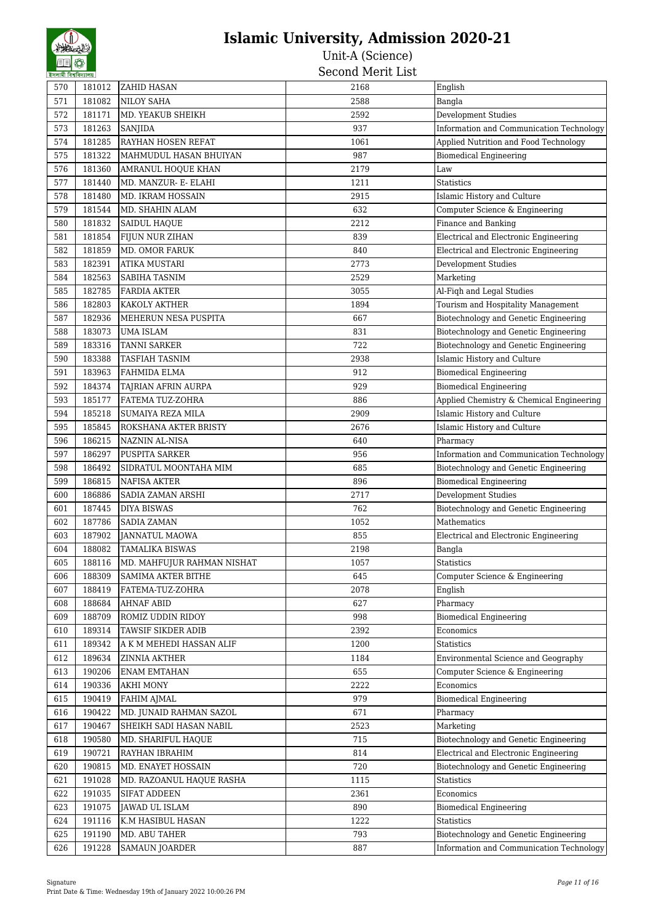| হসলামা বিশ্ববিদ্যালয় |        |                              | יניים יודחיות דימות |                                          |
|-----------------------|--------|------------------------------|---------------------|------------------------------------------|
| 570                   | 181012 | <b>ZAHID HASAN</b>           | 2168                | English                                  |
| 571                   | 181082 | NILOY SAHA                   | 2588                | Bangla                                   |
| 572                   | 181171 | MD. YEAKUB SHEIKH            | 2592                | <b>Development Studies</b>               |
| 573                   | 181263 | <b>SANJIDA</b>               | 937                 | Information and Communication Technology |
| 574                   | 181285 | <b>RAYHAN HOSEN REFAT</b>    | 1061                | Applied Nutrition and Food Technology    |
| 575                   | 181322 | MAHMUDUL HASAN BHUIYAN       | 987                 | <b>Biomedical Engineering</b>            |
| 576                   | 181360 | AMRANUL HOQUE KHAN           | 2179                | Law                                      |
| 577                   | 181440 | MD. MANZUR- E- ELAHI         | 1211                | <b>Statistics</b>                        |
| 578                   | 181480 | <b>MD. IKRAM HOSSAIN</b>     | 2915                | Islamic History and Culture              |
| 579                   | 181544 | MD. SHAHIN ALAM              | 632                 | Computer Science & Engineering           |
| 580                   | 181832 | <b>SAIDUL HAQUE</b>          | 2212                | Finance and Banking                      |
| 581                   | 181854 | FIJUN NUR ZIHAN              | 839                 | Electrical and Electronic Engineering    |
| 582                   | 181859 | <b>MD. OMOR FARUK</b>        | 840                 | Electrical and Electronic Engineering    |
| 583                   | 182391 | <b>ATIKA MUSTARI</b>         | 2773                | Development Studies                      |
| 584                   | 182563 | <b>SABIHA TASNIM</b>         | 2529                | Marketing                                |
| 585                   | 182785 | <b>FARDIA AKTER</b>          | 3055                | Al-Fiqh and Legal Studies                |
| 586                   | 182803 | <b>KAKOLY AKTHER</b>         | 1894                | Tourism and Hospitality Management       |
| 587                   | 182936 | MEHERUN NESA PUSPITA         | 667                 | Biotechnology and Genetic Engineering    |
| 588                   | 183073 | <b>UMA ISLAM</b>             | 831                 | Biotechnology and Genetic Engineering    |
| 589                   | 183316 | <b>TANNI SARKER</b>          | 722                 | Biotechnology and Genetic Engineering    |
| 590                   | 183388 | <b>TASFIAH TASNIM</b>        | 2938                | Islamic History and Culture              |
| 591                   | 183963 | <b>FAHMIDA ELMA</b>          | 912                 | <b>Biomedical Engineering</b>            |
| 592                   | 184374 | TAJRIAN AFRIN AURPA          | 929                 | <b>Biomedical Engineering</b>            |
| 593                   | 185177 | FATEMA TUZ-ZOHRA             | 886                 | Applied Chemistry & Chemical Engineering |
| 594                   | 185218 | SUMAIYA REZA MILA            | 2909                | Islamic History and Culture              |
| 595                   | 185845 | <b>ROKSHANA AKTER BRISTY</b> | 2676                | Islamic History and Culture              |
| 596                   | 186215 | NAZNIN AL-NISA               | 640                 | Pharmacy                                 |
| 597                   | 186297 | <b>PUSPITA SARKER</b>        | 956                 | Information and Communication Technology |
| 598                   | 186492 | SIDRATUL MOONTAHA MIM        | 685                 | Biotechnology and Genetic Engineering    |
| 599                   | 186815 | <b>NAFISA AKTER</b>          | 896                 | <b>Biomedical Engineering</b>            |
| 600                   | 186886 | <b>SADIA ZAMAN ARSHI</b>     | 2717                | Development Studies                      |
| 601                   | 187445 | <b>DIYA BISWAS</b>           | 762                 | Biotechnology and Genetic Engineering    |
| 602                   | 187786 | <b>SADIA ZAMAN</b>           | 1052                | Mathematics                              |
| 603                   | 187902 | JANNATUL MAOWA               | 855                 | Electrical and Electronic Engineering    |
| 604                   | 188082 | <b>TAMALIKA BISWAS</b>       | 2198                | Bangla                                   |
| 605                   | 188116 | MD. MAHFUJUR RAHMAN NISHAT   | 1057                | Statistics                               |
| 606                   | 188309 | <b>SAMIMA AKTER BITHE</b>    | 645                 | Computer Science & Engineering           |
| 607                   | 188419 | FATEMA-TUZ-ZOHRA             | 2078                | English                                  |
| 608                   | 188684 | <b>AHNAF ABID</b>            | 627                 | Pharmacy                                 |
| 609                   | 188709 | <b>ROMIZ UDDIN RIDOY</b>     | 998                 | <b>Biomedical Engineering</b>            |
| 610                   | 189314 | <b>TAWSIF SIKDER ADIB</b>    | 2392                | Economics                                |
| 611                   | 189342 | A K M MEHEDI HASSAN ALIF     | 1200                | <b>Statistics</b>                        |
| 612                   | 189634 | <b>ZINNIA AKTHER</b>         | 1184                | Environmental Science and Geography      |
| 613                   | 190206 | <b>ENAM EMTAHAN</b>          | 655                 | Computer Science & Engineering           |
| 614                   | 190336 | <b>AKHI MONY</b>             | 2222                | Economics                                |
| 615                   | 190419 | FAHIM AJMAL                  | 979                 | <b>Biomedical Engineering</b>            |
| 616                   | 190422 | MD. JUNAID RAHMAN SAZOL      | 671                 | Pharmacy                                 |
| 617                   | 190467 | SHEIKH SADI HASAN NABIL      | 2523                | Marketing                                |
| 618                   | 190580 | MD. SHARIFUL HAQUE           | 715                 | Biotechnology and Genetic Engineering    |
| 619                   | 190721 | RAYHAN IBRAHIM               | 814                 | Electrical and Electronic Engineering    |
| 620                   | 190815 | MD. ENAYET HOSSAIN           | 720                 | Biotechnology and Genetic Engineering    |
| 621                   | 191028 | MD. RAZOANUL HAQUE RASHA     | 1115                | <b>Statistics</b>                        |
| 622                   | 191035 | <b>SIFAT ADDEEN</b>          | 2361                | Economics                                |
| 623                   | 191075 | JAWAD UL ISLAM               | 890                 | <b>Biomedical Engineering</b>            |
| 624                   | 191116 | K.M HASIBUL HASAN            | 1222                | <b>Statistics</b>                        |
| 625                   | 191190 | MD. ABU TAHER                | 793                 | Biotechnology and Genetic Engineering    |
| 626                   | 191228 | <b>SAMAUN JOARDER</b>        | 887                 | Information and Communication Technology |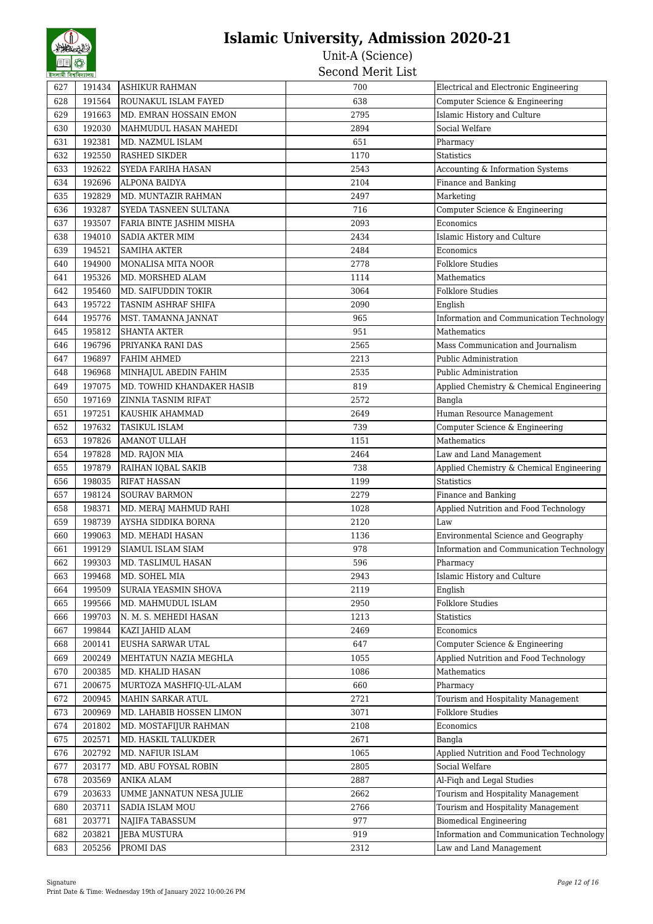| হসলামা বিশ্বাবদ্যালয় |        |                            |      |                                          |
|-----------------------|--------|----------------------------|------|------------------------------------------|
| 627                   | 191434 | <b>ASHIKUR RAHMAN</b>      | 700  | Electrical and Electronic Engineering    |
| 628                   | 191564 | ROUNAKUL ISLAM FAYED       | 638  | Computer Science & Engineering           |
| 629                   | 191663 | MD. EMRAN HOSSAIN EMON     | 2795 | Islamic History and Culture              |
| 630                   | 192030 | MAHMUDUL HASAN MAHEDI      | 2894 | Social Welfare                           |
| 631                   | 192381 | MD. NAZMUL ISLAM           | 651  | Pharmacy                                 |
| 632                   | 192550 | <b>RASHED SIKDER</b>       | 1170 | <b>Statistics</b>                        |
| 633                   | 192622 | SYEDA FARIHA HASAN         | 2543 | Accounting & Information Systems         |
| 634                   | 192696 | <b>ALPONA BAIDYA</b>       | 2104 | Finance and Banking                      |
| 635                   | 192829 | MD. MUNTAZIR RAHMAN        | 2497 | Marketing                                |
| 636                   | 193287 | SYEDA TASNEEN SULTANA      | 716  | Computer Science & Engineering           |
| 637                   | 193507 | FARIA BINTE JASHIM MISHA   | 2093 | Economics                                |
| 638                   | 194010 | SADIA AKTER MIM            | 2434 | Islamic History and Culture              |
| 639                   | 194521 | <b>SAMIHA AKTER</b>        | 2484 | Economics                                |
| 640                   | 194900 | MONALISA MITA NOOR         | 2778 | <b>Folklore Studies</b>                  |
| 641                   | 195326 | MD. MORSHED ALAM           | 1114 | Mathematics                              |
| 642                   | 195460 | MD. SAIFUDDIN TOKIR        | 3064 | <b>Folklore Studies</b>                  |
| 643                   | 195722 | TASNIM ASHRAF SHIFA        | 2090 | English                                  |
| 644                   | 195776 | MST. TAMANNA JANNAT        | 965  | Information and Communication Technology |
| 645                   | 195812 | <b>SHANTA AKTER</b>        | 951  | Mathematics                              |
| 646                   | 196796 | PRIYANKA RANI DAS          | 2565 | Mass Communication and Journalism        |
| 647                   |        |                            |      | Public Administration                    |
|                       | 196897 | <b>FAHIM AHMED</b>         | 2213 |                                          |
| 648                   | 196968 | MINHAJUL ABEDIN FAHIM      | 2535 | Public Administration                    |
| 649                   | 197075 | MD. TOWHID KHANDAKER HASIB | 819  | Applied Chemistry & Chemical Engineering |
| 650                   | 197169 | ZINNIA TASNIM RIFAT        | 2572 | Bangla                                   |
| 651                   | 197251 | KAUSHIK AHAMMAD            | 2649 | Human Resource Management                |
| 652                   | 197632 | TASIKUL ISLAM              | 739  | Computer Science & Engineering           |
| 653                   | 197826 | <b>AMANOT ULLAH</b>        | 1151 | Mathematics                              |
| 654                   | 197828 | MD. RAJON MIA              | 2464 | Law and Land Management                  |
| 655                   | 197879 | RAIHAN IQBAL SAKIB         | 738  | Applied Chemistry & Chemical Engineering |
| 656                   | 198035 | <b>RIFAT HASSAN</b>        | 1199 | <b>Statistics</b>                        |
| 657                   | 198124 | <b>SOURAV BARMON</b>       | 2279 | Finance and Banking                      |
| 658                   | 198371 | MD. MERAJ MAHMUD RAHI      | 1028 | Applied Nutrition and Food Technology    |
| 659                   | 198739 | AYSHA SIDDIKA BORNA        | 2120 | Law                                      |
| 660                   | 199063 | MD. MEHADI HASAN           | 1136 | Environmental Science and Geography      |
| 661                   | 199129 | SIAMUL ISLAM SIAM          | 978  | Information and Communication Technology |
| 662                   | 199303 | MD. TASLIMUL HASAN         | 596  | Pharmacy                                 |
| 663                   | 199468 | MD. SOHEL MIA              | 2943 | Islamic History and Culture              |
| 664                   | 199509 | SURAIA YEASMIN SHOVA       | 2119 | English                                  |
| 665                   | 199566 | MD. MAHMUDUL ISLAM         | 2950 | <b>Folklore Studies</b>                  |
| 666                   | 199703 | N. M. S. MEHEDI HASAN      | 1213 | <b>Statistics</b>                        |
| 667                   | 199844 | KAZI JAHID ALAM            | 2469 | Economics                                |
| 668                   | 200141 | EUSHA SARWAR UTAL          | 647  | Computer Science & Engineering           |
| 669                   | 200249 | MEHTATUN NAZIA MEGHLA      | 1055 | Applied Nutrition and Food Technology    |
| 670                   | 200385 | MD. KHALID HASAN           | 1086 | Mathematics                              |
| 671                   | 200675 | MURTOZA MASHFIQ-UL-ALAM    | 660  | Pharmacy                                 |
| 672                   | 200945 | MAHIN SARKAR ATUL          | 2721 | Tourism and Hospitality Management       |
| 673                   | 200969 | MD. LAHABIB HOSSEN LIMON   | 3071 | <b>Folklore Studies</b>                  |
| 674                   | 201802 | MD. MOSTAFIJUR RAHMAN      | 2108 | Economics                                |
| 675                   | 202571 | MD. HASKIL TALUKDER        | 2671 | Bangla                                   |
| 676                   | 202792 | MD. NAFIUR ISLAM           | 1065 | Applied Nutrition and Food Technology    |
| 677                   | 203177 | MD. ABU FOYSAL ROBIN       | 2805 | Social Welfare                           |
| 678                   | 203569 | ANIKA ALAM                 | 2887 | Al-Fiqh and Legal Studies                |
| 679                   | 203633 | UMME JANNATUN NESA JULIE   | 2662 | Tourism and Hospitality Management       |
| 680                   | 203711 | SADIA ISLAM MOU            | 2766 | Tourism and Hospitality Management       |
| 681                   | 203771 | NAJIFA TABASSUM            | 977  | <b>Biomedical Engineering</b>            |
| 682                   | 203821 | <b>JEBA MUSTURA</b>        | 919  | Information and Communication Technology |
| 683                   | 205256 | PROMI DAS                  | 2312 | Law and Land Management                  |
|                       |        |                            |      |                                          |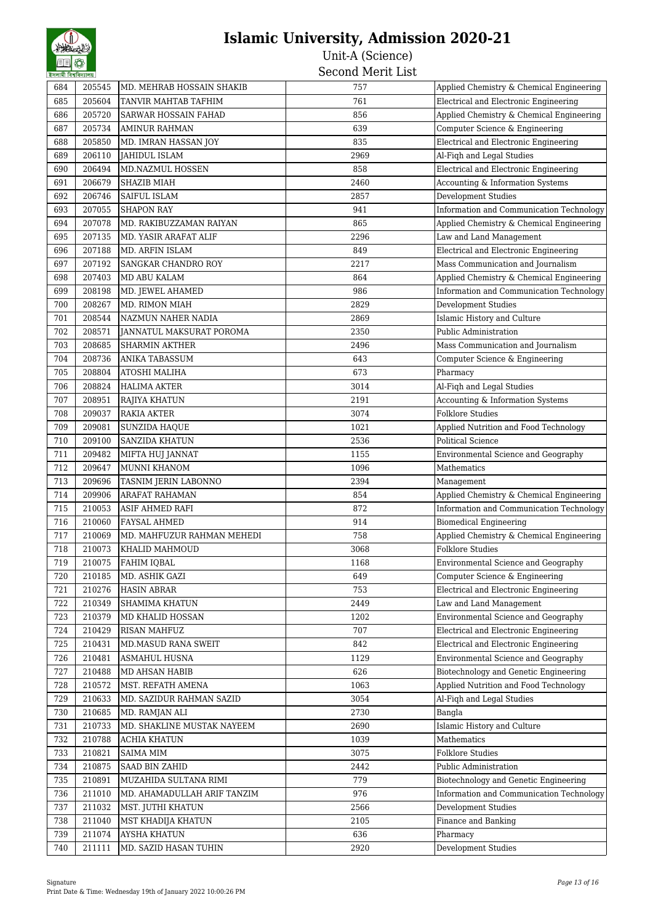| <b>SNAINI INA</b> |        |                             |      |                                            |
|-------------------|--------|-----------------------------|------|--------------------------------------------|
| 684               | 205545 | MD. MEHRAB HOSSAIN SHAKIB   | 757  | Applied Chemistry & Chemical Engineering   |
| 685               | 205604 | TANVIR MAHTAB TAFHIM        | 761  | Electrical and Electronic Engineering      |
| 686               | 205720 | SARWAR HOSSAIN FAHAD        | 856  | Applied Chemistry & Chemical Engineering   |
| 687               | 205734 | AMINUR RAHMAN               | 639  | Computer Science & Engineering             |
| 688               | 205850 | MD. IMRAN HASSAN JOY        | 835  | Electrical and Electronic Engineering      |
| 689               | 206110 | JAHIDUL ISLAM               | 2969 | Al-Fiqh and Legal Studies                  |
| 690               | 206494 | MD.NAZMUL HOSSEN            | 858  | Electrical and Electronic Engineering      |
| 691               | 206679 | <b>SHAZIB MIAH</b>          | 2460 | Accounting & Information Systems           |
| 692               | 206746 | SAIFUL ISLAM                | 2857 | Development Studies                        |
| 693               | 207055 | <b>SHAPON RAY</b>           | 941  | Information and Communication Technology   |
| 694               | 207078 | MD. RAKIBUZZAMAN RAIYAN     | 865  | Applied Chemistry & Chemical Engineering   |
| 695               | 207135 | MD. YASIR ARAFAT ALIF       | 2296 | Law and Land Management                    |
| 696               | 207188 | MD. ARFIN ISLAM             | 849  | Electrical and Electronic Engineering      |
| 697               | 207192 | <b>SANGKAR CHANDRO ROY</b>  | 2217 | Mass Communication and Journalism          |
| 698               | 207403 | MD ABU KALAM                | 864  | Applied Chemistry & Chemical Engineering   |
| 699               | 208198 | MD. JEWEL AHAMED            | 986  | Information and Communication Technology   |
| 700               | 208267 | MD. RIMON MIAH              | 2829 | <b>Development Studies</b>                 |
| 701               | 208544 | NAZMUN NAHER NADIA          | 2869 | Islamic History and Culture                |
| 702               | 208571 | JANNATUL MAKSURAT POROMA    | 2350 | Public Administration                      |
| 703               | 208685 | <b>SHARMIN AKTHER</b>       | 2496 | Mass Communication and Journalism          |
| 704               | 208736 | <b>ANIKA TABASSUM</b>       | 643  | Computer Science & Engineering             |
| 705               | 208804 | <b>ATOSHI MALIHA</b>        | 673  | Pharmacy                                   |
| 706               | 208824 | <b>HALIMA AKTER</b>         | 3014 | Al-Fiqh and Legal Studies                  |
| 707               | 208951 | RAJIYA KHATUN               | 2191 | Accounting & Information Systems           |
| 708               | 209037 | <b>RAKIA AKTER</b>          | 3074 | <b>Folklore Studies</b>                    |
| 709               | 209081 | SUNZIDA HAQUE               | 1021 | Applied Nutrition and Food Technology      |
| 710               | 209100 | SANZIDA KHATUN              | 2536 | <b>Political Science</b>                   |
| 711               | 209482 | MIFTA HUJ JANNAT            | 1155 | Environmental Science and Geography        |
| 712               | 209647 | MUNNI KHANOM                | 1096 | Mathematics                                |
| 713               | 209696 | TASNIM JERIN LABONNO        | 2394 | Management                                 |
| 714               | 209906 | <b>ARAFAT RAHAMAN</b>       | 854  | Applied Chemistry & Chemical Engineering   |
| 715               | 210053 | ASIF AHMED RAFI             | 872  | Information and Communication Technology   |
| 716               | 210060 | <b>FAYSAL AHMED</b>         | 914  | <b>Biomedical Engineering</b>              |
| 717               | 210069 | MD. MAHFUZUR RAHMAN MEHEDI  | 758  | Applied Chemistry & Chemical Engineering   |
| 718               | 210073 | KHALID MAHMOUD              | 3068 | <b>Folklore Studies</b>                    |
| 719               | 210075 | FAHIM IQBAL                 | 1168 | <b>Environmental Science and Geography</b> |
| 720               | 210185 | MD. ASHIK GAZI              | 649  | Computer Science & Engineering             |
| 721               | 210276 | <b>HASIN ABRAR</b>          | 753  | Electrical and Electronic Engineering      |
| 722               | 210349 | <b>SHAMIMA KHATUN</b>       | 2449 | Law and Land Management                    |
| 723               | 210379 | MD KHALID HOSSAN            | 1202 | Environmental Science and Geography        |
| 724               | 210429 | <b>RISAN MAHFUZ</b>         | 707  | Electrical and Electronic Engineering      |
| 725               | 210431 | MD.MASUD RANA SWEIT         | 842  | Electrical and Electronic Engineering      |
| 726               | 210481 | <b>ASMAHUL HUSNA</b>        | 1129 | Environmental Science and Geography        |
| 727               | 210488 | MD AHSAN HABIB              | 626  | Biotechnology and Genetic Engineering      |
| 728               | 210572 | MST. REFATH AMENA           | 1063 | Applied Nutrition and Food Technology      |
| 729               | 210633 | MD. SAZIDUR RAHMAN SAZID    | 3054 | Al-Fiqh and Legal Studies                  |
| 730               | 210685 | MD. RAMJAN ALI              | 2730 | Bangla                                     |
| 731               | 210733 | MD. SHAKLINE MUSTAK NAYEEM  | 2690 | Islamic History and Culture                |
| 732               | 210788 | ACHIA KHATUN                | 1039 | Mathematics                                |
| 733               | 210821 | <b>SAIMA MIM</b>            | 3075 | <b>Folklore Studies</b>                    |
| 734               | 210875 | SAAD BIN ZAHID              | 2442 | Public Administration                      |
| 735               | 210891 | MUZAHIDA SULTANA RIMI       | 779  | Biotechnology and Genetic Engineering      |
| 736               | 211010 | MD. AHAMADULLAH ARIF TANZIM | 976  | Information and Communication Technology   |
| 737               | 211032 | MST. JUTHI KHATUN           | 2566 | Development Studies                        |
| 738               | 211040 | MST KHADIJA KHATUN          | 2105 | Finance and Banking                        |
| 739               | 211074 | <b>AYSHA KHATUN</b>         | 636  | Pharmacy                                   |
| 740               | 211111 | MD. SAZID HASAN TUHIN       | 2920 | <b>Development Studies</b>                 |
|                   |        |                             |      |                                            |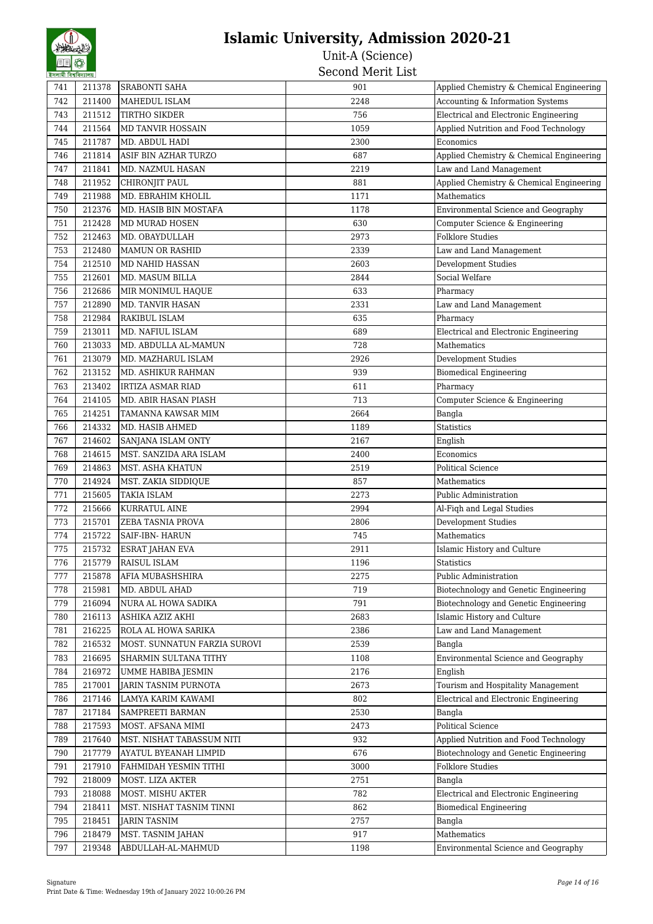| रणणाया । पत्रापणाणाप्र |        | <b>SRABONTI SAHA</b>         |      | Applied Chemistry & Chemical Engineering |
|------------------------|--------|------------------------------|------|------------------------------------------|
| 741                    | 211378 |                              | 901  |                                          |
| 742                    | 211400 | MAHEDUL ISLAM                | 2248 | Accounting & Information Systems         |
| 743                    | 211512 | <b>TIRTHO SIKDER</b>         | 756  | Electrical and Electronic Engineering    |
| 744                    | 211564 | MD TANVIR HOSSAIN            | 1059 | Applied Nutrition and Food Technology    |
| 745                    | 211787 | MD. ABDUL HADI               | 2300 | Economics                                |
| 746                    | 211814 | ASIF BIN AZHAR TURZO         | 687  | Applied Chemistry & Chemical Engineering |
| 747                    | 211841 | MD. NAZMUL HASAN             | 2219 | Law and Land Management                  |
| 748                    | 211952 | CHIRONJIT PAUL               | 881  | Applied Chemistry & Chemical Engineering |
| 749                    | 211988 | MD. EBRAHIM KHOLIL           | 1171 | Mathematics                              |
| 750                    | 212376 | MD. HASIB BIN MOSTAFA        | 1178 | Environmental Science and Geography      |
| 751                    | 212428 | <b>MD MURAD HOSEN</b>        | 630  | Computer Science & Engineering           |
| 752                    | 212463 | MD. OBAYDULLAH               | 2973 | Folklore Studies                         |
| 753                    | 212480 | <b>MAMUN OR RASHID</b>       | 2339 | Law and Land Management                  |
| 754                    | 212510 | <b>MD NAHID HASSAN</b>       | 2603 | <b>Development Studies</b>               |
| 755                    | 212601 | MD. MASUM BILLA              | 2844 | Social Welfare                           |
| 756                    | 212686 | MIR MONIMUL HAQUE            | 633  | Pharmacy                                 |
| 757                    | 212890 | <b>MD. TANVIR HASAN</b>      | 2331 | Law and Land Management                  |
| 758                    | 212984 | RAKIBUL ISLAM                | 635  | Pharmacy                                 |
| 759                    | 213011 | MD. NAFIUL ISLAM             | 689  | Electrical and Electronic Engineering    |
| 760                    | 213033 | MD. ABDULLA AL-MAMUN         | 728  | Mathematics                              |
| 761                    | 213079 | MD. MAZHARUL ISLAM           | 2926 | Development Studies                      |
| 762                    | 213152 | MD. ASHIKUR RAHMAN           | 939  | <b>Biomedical Engineering</b>            |
| 763                    | 213402 | <b>IRTIZA ASMAR RIAD</b>     | 611  | Pharmacy                                 |
| 764                    | 214105 | MD. ABIR HASAN PIASH         | 713  | Computer Science & Engineering           |
| 765                    | 214251 | <b>TAMANNA KAWSAR MIM</b>    | 2664 | Bangla                                   |
| 766                    | 214332 | MD. HASIB AHMED              | 1189 | <b>Statistics</b>                        |
| 767                    | 214602 | SANJANA ISLAM ONTY           | 2167 | English                                  |
| 768                    | 214615 | MST. SANZIDA ARA ISLAM       | 2400 | Economics                                |
| 769                    | 214863 | MST. ASHA KHATUN             | 2519 | <b>Political Science</b>                 |
| 770                    | 214924 | MST. ZAKIA SIDDIQUE          | 857  | Mathematics                              |
| 771                    | 215605 | <b>TAKIA ISLAM</b>           | 2273 | Public Administration                    |
| 772                    | 215666 | <b>KURRATUL AINE</b>         | 2994 | Al-Fiqh and Legal Studies                |
| 773                    | 215701 | <b>ZEBA TASNIA PROVA</b>     | 2806 | Development Studies                      |
| 774                    | 215722 | SAIF-IBN- HARUN              | 745  | Mathematics                              |
| 775                    | 215732 | ESRAT JAHAN EVA              | 2911 | Islamic History and Culture              |
| 776                    | 215779 | <b>RAISUL ISLAM</b>          | 1196 | <b>Statistics</b>                        |
| 777                    | 215878 | AFIA MUBASHSHIRA             | 2275 | Public Administration                    |
| 778                    | 215981 | MD. ABDUL AHAD               | 719  | Biotechnology and Genetic Engineering    |
| 779                    | 216094 | NURA AL HOWA SADIKA          | 791  | Biotechnology and Genetic Engineering    |
| 780                    | 216113 | ASHIKA AZIZ AKHI             | 2683 | Islamic History and Culture              |
| 781                    | 216225 | ROLA AL HOWA SARIKA          | 2386 | Law and Land Management                  |
| 782                    | 216532 | MOST. SUNNATUN FARZIA SUROVI | 2539 | Bangla                                   |
| 783                    | 216695 | SHARMIN SULTANA TITHY        | 1108 | Environmental Science and Geography      |
| 784                    | 216972 | UMME HABIBA JESMIN           | 2176 | English                                  |
| 785                    | 217001 | JARIN TASNIM PURNOTA         | 2673 | Tourism and Hospitality Management       |
| 786                    | 217146 | LAMYA KARIM KAWAMI           | 802  | Electrical and Electronic Engineering    |
| 787                    | 217184 | SAMPREETI BARMAN             | 2530 | Bangla                                   |
| 788                    | 217593 | MOST. AFSANA MIMI            | 2473 | Political Science                        |
| 789                    | 217640 | MST. NISHAT TABASSUM NITI    | 932  | Applied Nutrition and Food Technology    |
| 790                    | 217779 | AYATUL BYEANAH LIMPID        | 676  | Biotechnology and Genetic Engineering    |
| 791                    | 217910 | FAHMIDAH YESMIN TITHI        | 3000 | <b>Folklore Studies</b>                  |
| 792                    | 218009 | MOST. LIZA AKTER             | 2751 | Bangla                                   |
| 793                    | 218088 | MOST. MISHU AKTER            | 782  | Electrical and Electronic Engineering    |
| 794                    | 218411 | MST. NISHAT TASNIM TINNI     | 862  | <b>Biomedical Engineering</b>            |
| 795                    | 218451 | JARIN TASNIM                 | 2757 | Bangla                                   |
| 796                    | 218479 | MST. TASNIM JAHAN            | 917  | Mathematics                              |
| 797                    | 219348 | ABDULLAH-AL-MAHMUD           | 1198 | Environmental Science and Geography      |
|                        |        |                              |      |                                          |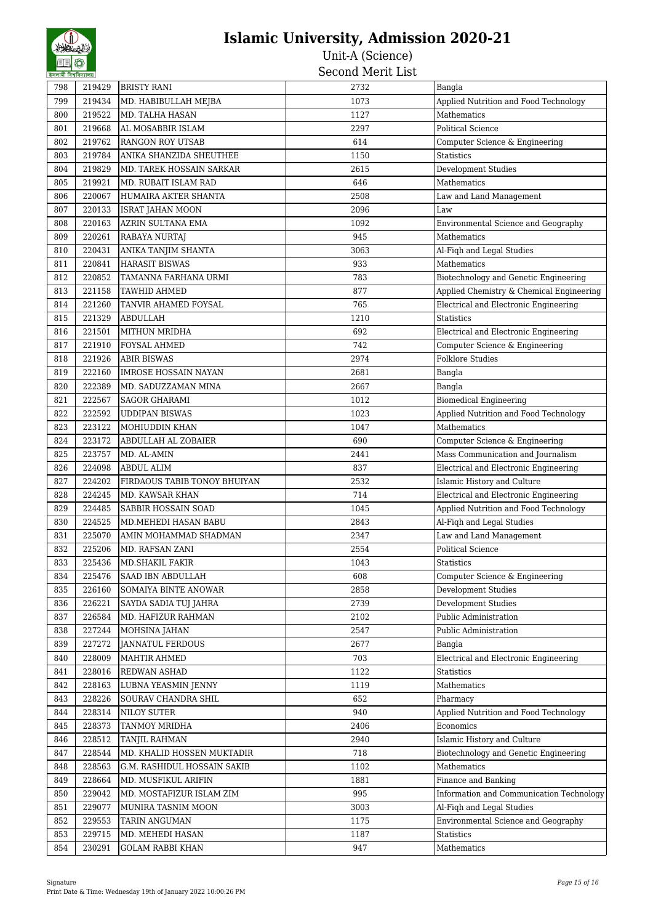| হসলামা বিশ্বাবদ্যালয় |        |                                             |              |                                              |
|-----------------------|--------|---------------------------------------------|--------------|----------------------------------------------|
| 798                   | 219429 | <b>BRISTY RANI</b>                          | 2732         | Bangla                                       |
| 799                   | 219434 | MD. HABIBULLAH MEJBA                        | 1073         | Applied Nutrition and Food Technology        |
| 800                   | 219522 | MD. TALHA HASAN                             | 1127         | Mathematics                                  |
| 801                   | 219668 | AL MOSABBIR ISLAM                           | 2297         | Political Science                            |
| 802                   | 219762 | <b>RANGON ROY UTSAB</b>                     | 614          | Computer Science & Engineering               |
| 803                   | 219784 | ANIKA SHANZIDA SHEUTHEE                     | 1150         | Statistics                                   |
| 804                   | 219829 | MD. TAREK HOSSAIN SARKAR                    | 2615         | Development Studies                          |
| 805                   | 219921 | MD. RUBAIT ISLAM RAD                        | 646          | Mathematics                                  |
| 806                   | 220067 | HUMAIRA AKTER SHANTA                        | 2508         | Law and Land Management                      |
| 807                   | 220133 | <b>ISRAT JAHAN MOON</b>                     | 2096         | Law                                          |
| 808                   | 220163 | AZRIN SULTANA EMA                           | 1092         | Environmental Science and Geography          |
| 809                   | 220261 | RABAYA NURTAJ                               | 945          | Mathematics                                  |
| 810                   | 220431 | ANIKA TANJIM SHANTA                         | 3063         | Al-Fiqh and Legal Studies                    |
| 811                   | 220841 | <b>HARASIT BISWAS</b>                       | 933          | Mathematics                                  |
| 812                   | 220852 | TAMANNA FARHANA URMI                        | 783          | Biotechnology and Genetic Engineering        |
| 813                   | 221158 | <b>TAWHID AHMED</b>                         | 877          | Applied Chemistry & Chemical Engineering     |
| 814                   | 221260 | TANVIR AHAMED FOYSAL                        | 765          | Electrical and Electronic Engineering        |
| 815                   | 221329 | <b>ABDULLAH</b>                             | 1210         | <b>Statistics</b>                            |
| 816                   | 221501 | <b>MITHUN MRIDHA</b>                        | 692          | Electrical and Electronic Engineering        |
| 817                   | 221910 | <b>FOYSAL AHMED</b>                         | 742          | Computer Science & Engineering               |
| 818                   | 221926 | <b>ABIR BISWAS</b>                          | 2974         | <b>Folklore Studies</b>                      |
| 819                   | 222160 | <b>IMROSE HOSSAIN NAYAN</b>                 | 2681         | Bangla                                       |
| 820                   | 222389 | MD. SADUZZAMAN MINA                         | 2667         | Bangla                                       |
| 821                   | 222567 | <b>SAGOR GHARAMI</b>                        | 1012         | <b>Biomedical Engineering</b>                |
| 822                   | 222592 | <b>UDDIPAN BISWAS</b>                       | 1023         | Applied Nutrition and Food Technology        |
| 823                   | 223122 | MOHIUDDIN KHAN                              | 1047         | Mathematics                                  |
| 824                   | 223172 | ABDULLAH AL ZOBAIER                         | 690          | Computer Science & Engineering               |
| 825                   | 223757 | MD. AL-AMIN                                 | 2441         | Mass Communication and Journalism            |
| 826                   | 224098 | <b>ABDUL ALIM</b>                           | 837          | <b>Electrical and Electronic Engineering</b> |
| 827                   | 224202 | FIRDAOUS TABIB TONOY BHUIYAN                | 2532         | Islamic History and Culture                  |
| 828                   | 224245 | MD. KAWSAR KHAN                             | 714          | Electrical and Electronic Engineering        |
| 829                   | 224485 | SABBIR HOSSAIN SOAD                         | 1045         | Applied Nutrition and Food Technology        |
| 830                   | 224525 | MD.MEHEDI HASAN BABU                        | 2843         | Al-Fiqh and Legal Studies                    |
| 831                   | 225070 | AMIN MOHAMMAD SHADMAN                       | 2347         | Law and Land Management                      |
| 832                   | 225206 | MD. RAFSAN ZANI                             | 2554         | <b>Political Science</b>                     |
| 833                   | 225436 | <b>MD.SHAKIL FAKIR</b>                      | 1043         | Statistics                                   |
| 834                   | 225476 | SAAD IBN ABDULLAH                           | 608          | Computer Science & Engineering               |
| 835                   | 226160 | SOMAIYA BINTE ANOWAR                        | 2858         | <b>Development Studies</b>                   |
| 836                   | 226221 |                                             | 2739         | <b>Development Studies</b>                   |
|                       | 226584 | SAYDA SADIA TUJ JAHRA<br>MD. HAFIZUR RAHMAN |              | Public Administration                        |
| 837                   | 227244 |                                             | 2102<br>2547 | Public Administration                        |
| 838                   |        | MOHSINA JAHAN                               |              |                                              |
| 839                   | 227272 | <b>JANNATUL FERDOUS</b>                     | 2677         | Bangla                                       |
| 840                   | 228009 | MAHTIR AHMED                                | 703          | Electrical and Electronic Engineering        |
| 841                   | 228016 | REDWAN ASHAD                                | 1122         | Statistics                                   |
| 842                   | 228163 | LUBNA YEASMIN JENNY                         | 1119         | Mathematics                                  |
| 843                   | 228226 | SOURAV CHANDRA SHIL                         | 652          | Pharmacy                                     |
| 844                   | 228314 | <b>NILOY SUTER</b>                          | 940          | Applied Nutrition and Food Technology        |
| 845                   | 228373 | TANMOY MRIDHA                               | 2406         | Economics                                    |
| 846                   | 228512 | TANJIL RAHMAN                               | 2940         | Islamic History and Culture                  |
| 847                   | 228544 | MD. KHALID HOSSEN MUKTADIR                  | 718          | Biotechnology and Genetic Engineering        |
| 848                   | 228563 | G.M. RASHIDUL HOSSAIN SAKIB                 | 1102         | Mathematics                                  |
| 849                   | 228664 | MD. MUSFIKUL ARIFIN                         | 1881         | Finance and Banking                          |
| 850                   | 229042 | MD. MOSTAFIZUR ISLAM ZIM                    | 995          | Information and Communication Technology     |
| 851                   | 229077 | MUNIRA TASNIM MOON                          | 3003         | Al-Fiqh and Legal Studies                    |
| 852                   | 229553 | <b>TARIN ANGUMAN</b>                        | 1175         | Environmental Science and Geography          |
| 853                   | 229715 | MD. MEHEDI HASAN                            | 1187         | <b>Statistics</b>                            |
| 854                   | 230291 | <b>GOLAM RABBI KHAN</b>                     | 947          | Mathematics                                  |